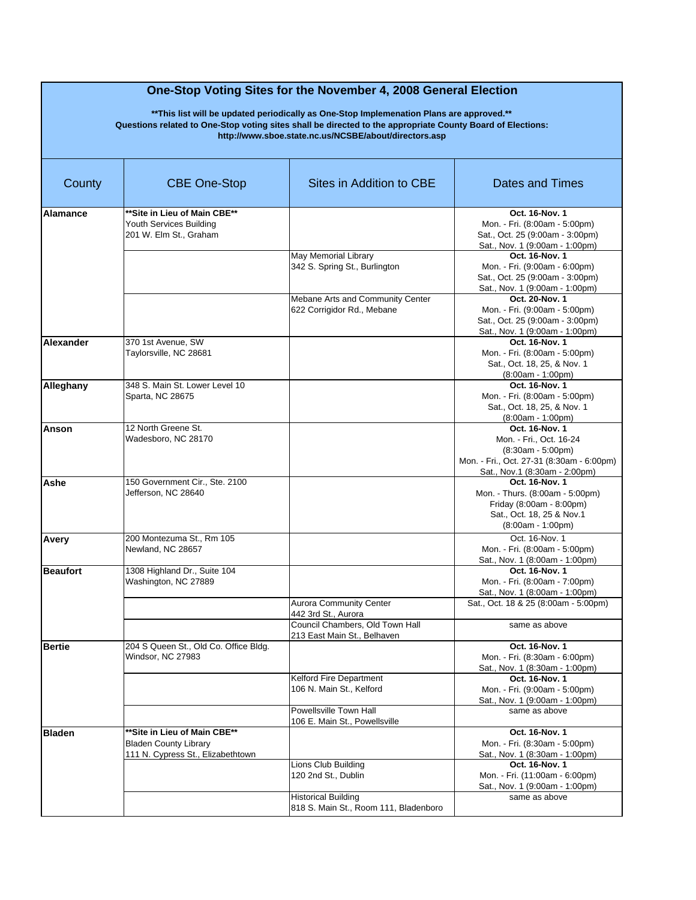| County          | <b>CBE One-Stop</b>                                                                                | Sites in Addition to CBE                                            | Dates and Times                                                                                                                                |
|-----------------|----------------------------------------------------------------------------------------------------|---------------------------------------------------------------------|------------------------------------------------------------------------------------------------------------------------------------------------|
| Alamance        | **Site in Lieu of Main CBE**<br>Youth Services Building<br>201 W. Elm St., Graham                  |                                                                     | Oct. 16-Nov. 1<br>Mon. - Fri. (8:00am - 5:00pm)<br>Sat., Oct. 25 (9:00am - 3:00pm)<br>Sat., Nov. 1 (9:00am - 1:00pm)                           |
|                 |                                                                                                    | May Memorial Library<br>342 S. Spring St., Burlington               | Oct. 16-Nov. 1<br>Mon. - Fri. (9:00am - 6:00pm)<br>Sat., Oct. 25 (9:00am - 3:00pm)<br>Sat., Nov. 1 (9:00am - 1:00pm)                           |
|                 |                                                                                                    | Mebane Arts and Community Center<br>622 Corrigidor Rd., Mebane      | Oct. 20-Nov. 1<br>Mon. - Fri. (9:00am - 5:00pm)<br>Sat., Oct. 25 (9:00am - 3:00pm)<br>Sat., Nov. 1 (9:00am - 1:00pm)                           |
| Alexander       | 370 1st Avenue, SW<br>Taylorsville, NC 28681                                                       |                                                                     | Oct. 16-Nov. 1<br>Mon. - Fri. (8:00am - 5:00pm)<br>Sat., Oct. 18, 25, & Nov. 1<br>$(8:00am - 1:00pm)$                                          |
| Alleghany       | 348 S. Main St. Lower Level 10<br>Sparta, NC 28675                                                 |                                                                     | Oct. 16-Nov. 1<br>Mon. - Fri. (8:00am - 5:00pm)<br>Sat., Oct. 18, 25, & Nov. 1<br>$(8:00am - 1:00pm)$                                          |
| Anson           | 12 North Greene St.<br>Wadesboro, NC 28170                                                         |                                                                     | Oct. 16-Nov. 1<br>Mon. - Fri., Oct. 16-24<br>$(8:30am - 5:00pm)$<br>Mon. - Fri., Oct. 27-31 (8:30am - 6:00pm)<br>Sat., Nov.1 (8:30am - 2:00pm) |
| Ashe            | 150 Government Cir., Ste. 2100<br>Jefferson, NC 28640                                              |                                                                     | Oct. 16-Nov. 1<br>Mon. - Thurs. (8:00am - 5:00pm)<br>Friday (8:00am - 8:00pm)<br>Sat., Oct. 18, 25 & Nov.1<br>$(8:00am - 1:00pm)$              |
| Avery           | 200 Montezuma St., Rm 105<br>Newland, NC 28657                                                     |                                                                     | Oct. 16-Nov. 1<br>Mon. - Fri. (8:00am - 5:00pm)<br>Sat., Nov. 1 (8:00am - 1:00pm)                                                              |
| <b>Beaufort</b> | 1308 Highland Dr., Suite 104<br>Washington, NC 27889                                               | <b>Aurora Community Center</b><br>442 3rd St., Aurora               | Oct. 16-Nov. 1<br>Mon. - Fri. (8:00am - 7:00pm)<br>Sat., Nov. 1 (8:00am - 1:00pm)<br>Sat., Oct. 18 & 25 (8:00am - 5:00pm)                      |
|                 |                                                                                                    | Council Chambers, Old Town Hall<br>213 East Main St., Belhaven      | same as above                                                                                                                                  |
| <b>Bertie</b>   | 204 S Queen St., Old Co. Office Bldg.<br>Windsor, NC 27983                                         |                                                                     | Oct. 16-Nov. 1<br>Mon. - Fri. (8:30am - 6:00pm)<br>Sat., Nov. 1 (8:30am - 1:00pm)                                                              |
|                 |                                                                                                    | Kelford Fire Department<br>106 N. Main St., Kelford                 | Oct. 16-Nov. 1<br>Mon. - Fri. (9:00am - 5:00pm)<br>Sat., Nov. 1 (9:00am - 1:00pm)                                                              |
|                 |                                                                                                    | Powellsville Town Hall<br>106 E. Main St., Powellsville             | same as above                                                                                                                                  |
| <b>Bladen</b>   | ** Site in Lieu of Main CBE**<br><b>Bladen County Library</b><br>111 N. Cvpress St., Elizabethtown |                                                                     | Oct. 16-Nov. 1<br>Mon. - Fri. (8:30am - 5:00pm)<br>Sat., Nov. 1 (8:30am - 1:00pm)                                                              |
|                 |                                                                                                    | Lions Club Building<br>120 2nd St., Dublin                          | Oct. 16-Nov. 1<br>Mon. - Fri. (11:00am - 6:00pm)<br>Sat., Nov. 1 (9:00am - 1:00pm)                                                             |
|                 |                                                                                                    | <b>Historical Building</b><br>818 S. Main St., Room 111, Bladenboro | same as above                                                                                                                                  |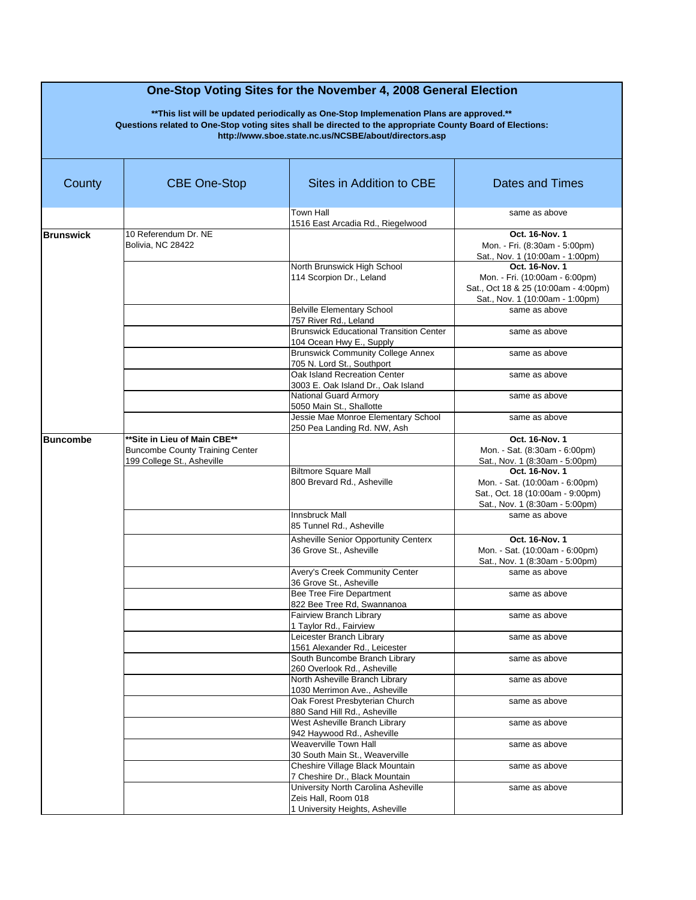| County           | <b>CBE One-Stop</b>                                                                                  | Sites in Addition to CBE                                                                      | Dates and Times                                                                                                             |
|------------------|------------------------------------------------------------------------------------------------------|-----------------------------------------------------------------------------------------------|-----------------------------------------------------------------------------------------------------------------------------|
|                  |                                                                                                      | <b>Town Hall</b><br>1516 East Arcadia Rd., Riegelwood                                         | same as above                                                                                                               |
| <b>Brunswick</b> | 10 Referendum Dr. NE<br>Bolivia, NC 28422                                                            |                                                                                               | Oct. 16-Nov. 1<br>Mon. - Fri. (8:30am - 5:00pm)<br>Sat., Nov. 1 (10:00am - 1:00pm)                                          |
|                  |                                                                                                      | North Brunswick High School<br>114 Scorpion Dr., Leland                                       | Oct. 16-Nov. 1<br>Mon. - Fri. (10:00am - 6:00pm)<br>Sat., Oct 18 & 25 (10:00am - 4:00pm)<br>Sat., Nov. 1 (10:00am - 1:00pm) |
|                  |                                                                                                      | <b>Belville Elementary School</b><br>757 River Rd., Leland                                    | same as above                                                                                                               |
|                  |                                                                                                      | <b>Brunswick Educational Transition Center</b><br>104 Ocean Hwy E., Supply                    | same as above                                                                                                               |
|                  |                                                                                                      | <b>Brunswick Community College Annex</b><br>705 N. Lord St., Southport                        | same as above                                                                                                               |
|                  |                                                                                                      | Oak Island Recreation Center<br>3003 E. Oak Island Dr., Oak Island                            | same as above                                                                                                               |
|                  |                                                                                                      | National Guard Armory<br>5050 Main St., Shallotte                                             | same as above                                                                                                               |
|                  |                                                                                                      | Jessie Mae Monroe Elementary School<br>250 Pea Landing Rd. NW, Ash                            | same as above                                                                                                               |
| <b>Buncombe</b>  | **Site in Lieu of Main CBE**<br><b>Buncombe County Training Center</b><br>199 College St., Asheville |                                                                                               | Oct. 16-Nov. 1<br>Mon. - Sat. (8:30am - 6:00pm)<br>Sat., Nov. 1 (8:30am - 5:00pm)                                           |
|                  |                                                                                                      | <b>Biltmore Square Mall</b><br>800 Brevard Rd., Asheville                                     | Oct. 16-Nov. 1<br>Mon. - Sat. (10:00am - 6:00pm)<br>Sat., Oct. 18 (10:00am - 9:00pm)<br>Sat., Nov. 1 (8:30am - 5:00pm)      |
|                  |                                                                                                      | <b>Innsbruck Mall</b><br>85 Tunnel Rd., Asheville                                             | same as above                                                                                                               |
|                  |                                                                                                      | <b>Asheville Senior Opportunity Centerx</b><br>36 Grove St., Asheville                        | Oct. 16-Nov. 1<br>Mon. - Sat. (10:00am - 6:00pm)<br>Sat., Nov. 1 (8:30am - 5:00pm)                                          |
|                  |                                                                                                      | Avery's Creek Community Center<br>36 Grove St., Asheville                                     | same as above                                                                                                               |
|                  |                                                                                                      | Bee Tree Fire Department<br>822 Bee Tree Rd, Swannanoa                                        | same as above                                                                                                               |
|                  |                                                                                                      | Fairview Branch Library<br>1 Taylor Rd., Fairview                                             | same as above                                                                                                               |
|                  |                                                                                                      | Leicester Branch Library<br>1561 Alexander Rd., Leicester                                     | same as above                                                                                                               |
|                  |                                                                                                      | South Buncombe Branch Library<br>260 Overlook Rd., Asheville                                  | same as above                                                                                                               |
|                  |                                                                                                      | North Asheville Branch Library<br>1030 Merrimon Ave., Asheville                               | same as above                                                                                                               |
|                  |                                                                                                      | Oak Forest Presbyterian Church<br>880 Sand Hill Rd., Asheville                                | same as above                                                                                                               |
|                  |                                                                                                      | West Asheville Branch Library<br>942 Haywood Rd., Asheville                                   | same as above                                                                                                               |
|                  |                                                                                                      | Weaverville Town Hall<br>30 South Main St., Weaverville                                       | same as above                                                                                                               |
|                  |                                                                                                      | Cheshire Village Black Mountain<br>7 Cheshire Dr., Black Mountain                             | same as above                                                                                                               |
|                  |                                                                                                      | University North Carolina Asheville<br>Zeis Hall, Room 018<br>1 University Heights, Asheville | same as above                                                                                                               |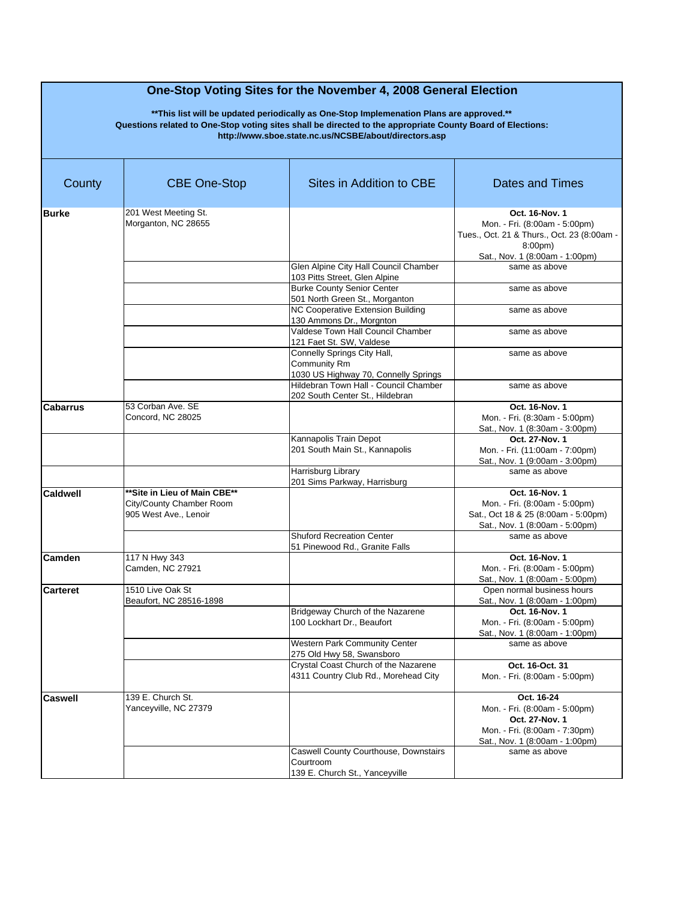| County          | <b>CBE One-Stop</b>                                                               | Sites in Addition to CBE                                                             | <b>Dates and Times</b>                                                                                                                                |
|-----------------|-----------------------------------------------------------------------------------|--------------------------------------------------------------------------------------|-------------------------------------------------------------------------------------------------------------------------------------------------------|
| <b>Burke</b>    | 201 West Meeting St.<br>Morganton, NC 28655                                       |                                                                                      | Oct. 16-Nov. 1<br>Mon. - Fri. (8:00am - 5:00pm)<br>Tues., Oct. 21 & Thurs., Oct. 23 (8:00am -<br>8:00 <sub>pm</sub><br>Sat., Nov. 1 (8:00am - 1:00pm) |
|                 |                                                                                   | Glen Alpine City Hall Council Chamber<br>103 Pitts Street, Glen Alpine               | same as above                                                                                                                                         |
|                 |                                                                                   | <b>Burke County Senior Center</b><br>501 North Green St., Morganton                  | same as above                                                                                                                                         |
|                 |                                                                                   | <b>NC Cooperative Extension Building</b><br>130 Ammons Dr., Morgnton                 | same as above                                                                                                                                         |
|                 |                                                                                   | Valdese Town Hall Council Chamber<br>121 Faet St. SW, Valdese                        | same as above                                                                                                                                         |
|                 |                                                                                   | Connelly Springs City Hall,<br>Community Rm<br>1030 US Highway 70, Connelly Springs  | same as above                                                                                                                                         |
|                 |                                                                                   | Hildebran Town Hall - Council Chamber<br>202 South Center St., Hildebran             | same as above                                                                                                                                         |
| <b>Cabarrus</b> | 53 Corban Ave. SE<br>Concord, NC 28025                                            |                                                                                      | Oct. 16-Nov. 1<br>Mon. - Fri. (8:30am - 5:00pm)<br>Sat., Nov. 1 (8:30am - 3:00pm)                                                                     |
|                 |                                                                                   | Kannapolis Train Depot<br>201 South Main St., Kannapolis                             | Oct. 27-Nov. 1<br>Mon. - Fri. (11:00am - 7:00pm)<br>Sat., Nov. 1 (9:00am - 3:00pm)                                                                    |
|                 |                                                                                   | Harrisburg Library<br>201 Sims Parkway, Harrisburg                                   | same as above                                                                                                                                         |
| <b>Caldwell</b> | **Site in Lieu of Main CBE**<br>City/County Chamber Room<br>905 West Ave., Lenoir | <b>Shuford Recreation Center</b>                                                     | Oct. 16-Nov. 1<br>Mon. - Fri. (8:00am - 5:00pm)<br>Sat., Oct 18 & 25 (8:00am - 5:00pm)<br>Sat., Nov. 1 (8:00am - 5:00pm)                              |
|                 |                                                                                   | 51 Pinewood Rd., Granite Falls                                                       | same as above                                                                                                                                         |
| Camden          | 117 N Hwy 343<br>Camden, NC 27921                                                 |                                                                                      | Oct. 16-Nov. 1<br>Mon. - Fri. (8:00am - 5:00pm)<br>Sat., Nov. 1 (8:00am - 5:00pm)                                                                     |
| <b>Carteret</b> | 1510 Live Oak St<br>Beaufort, NC 28516-1898                                       |                                                                                      | Open normal business hours<br>Sat., Nov. 1 (8:00am - 1:00pm)                                                                                          |
|                 |                                                                                   | Bridgeway Church of the Nazarene<br>100 Lockhart Dr., Beaufort                       | Oct. 16-Nov. 1<br>Mon. - Fri. (8:00am - 5:00pm)<br>Sat., Nov. 1 (8:00am - 1:00pm)                                                                     |
|                 |                                                                                   | Western Park Community Center<br>275 Old Hwy 58, Swansboro                           | same as above                                                                                                                                         |
|                 |                                                                                   | Crystal Coast Church of the Nazarene<br>4311 Country Club Rd., Morehead City         | Oct. 16-Oct. 31<br>Mon. - Fri. (8:00am - 5:00pm)                                                                                                      |
| <b>Caswell</b>  | 139 E. Church St.<br>Yanceyville, NC 27379                                        |                                                                                      | Oct. 16-24<br>Mon. - Fri. (8:00am - 5:00pm)<br>Oct. 27-Nov. 1<br>Mon. - Fri. (8:00am - 7:30pm)<br>Sat., Nov. 1 (8:00am - 1:00pm)                      |
|                 |                                                                                   | Caswell County Courthouse, Downstairs<br>Courtroom<br>139 E. Church St., Yanceyville | same as above                                                                                                                                         |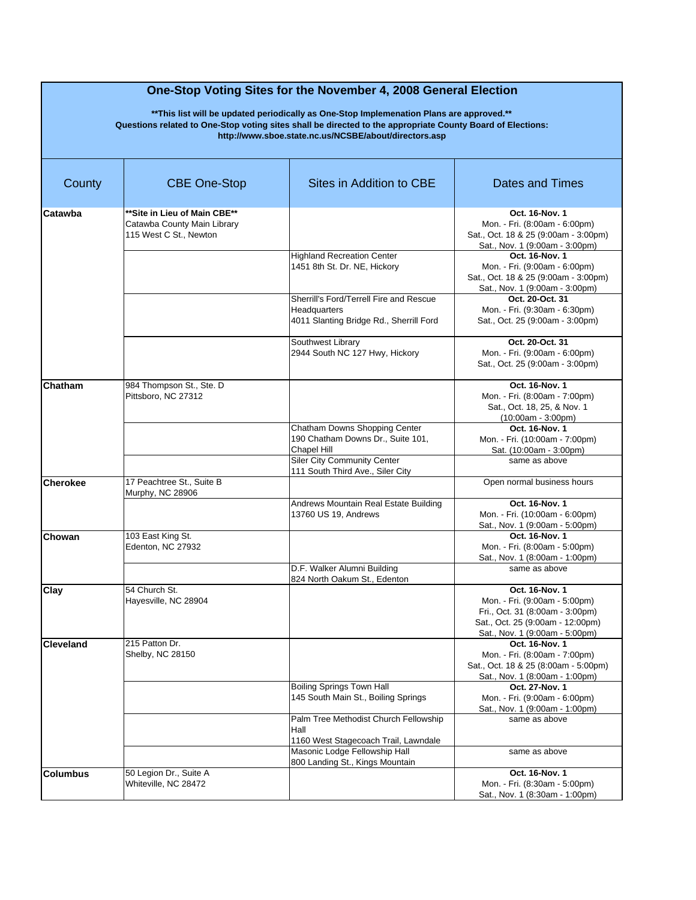| County           | <b>CBE One-Stop</b>                                                                   | Sites in Addition to CBE                                                                           | <b>Dates and Times</b>                                                                                                                                   |
|------------------|---------------------------------------------------------------------------------------|----------------------------------------------------------------------------------------------------|----------------------------------------------------------------------------------------------------------------------------------------------------------|
| Catawba          | **Site in Lieu of Main CBE**<br>Catawba County Main Library<br>115 West C St., Newton |                                                                                                    | Oct. 16-Nov. 1<br>Mon. - Fri. (8:00am - 6:00pm)<br>Sat., Oct. 18 & 25 (9:00am - 3:00pm)<br>Sat., Nov. 1 (9:00am - 3:00pm)                                |
|                  |                                                                                       | <b>Highland Recreation Center</b><br>1451 8th St. Dr. NE, Hickory                                  | Oct. 16-Nov. 1<br>Mon. - Fri. (9:00am - 6:00pm)<br>Sat., Oct. 18 & 25 (9:00am - 3:00pm)<br>Sat., Nov. 1 (9:00am - 3:00pm)                                |
|                  |                                                                                       | Sherrill's Ford/Terrell Fire and Rescue<br>Headquarters<br>4011 Slanting Bridge Rd., Sherrill Ford | Oct. 20-Oct. 31<br>Mon. - Fri. (9:30am - 6:30pm)<br>Sat., Oct. 25 (9:00am - 3:00pm)                                                                      |
|                  |                                                                                       | Southwest Library<br>2944 South NC 127 Hwy, Hickory                                                | Oct. 20-Oct. 31<br>Mon. - Fri. (9:00am - 6:00pm)<br>Sat., Oct. 25 (9:00am - 3:00pm)                                                                      |
| Chatham          | 984 Thompson St., Ste. D<br>Pittsboro, NC 27312                                       |                                                                                                    | Oct. 16-Nov. 1<br>Mon. - Fri. (8:00am - 7:00pm)<br>Sat., Oct. 18, 25, & Nov. 1<br>$(10:00am - 3:00pm)$                                                   |
|                  |                                                                                       | Chatham Downs Shopping Center<br>190 Chatham Downs Dr., Suite 101,<br>Chapel Hill                  | Oct. 16-Nov. 1<br>Mon. - Fri. (10:00am - 7:00pm)<br>Sat. (10:00am - 3:00pm)                                                                              |
|                  |                                                                                       | <b>Siler City Community Center</b><br>111 South Third Ave., Siler City                             | same as above                                                                                                                                            |
| <b>Cherokee</b>  | 17 Peachtree St., Suite B<br>Murphy, NC 28906                                         |                                                                                                    | Open normal business hours                                                                                                                               |
|                  |                                                                                       | Andrews Mountain Real Estate Building<br>13760 US 19, Andrews                                      | Oct. 16-Nov. 1<br>Mon. - Fri. (10:00am - 6:00pm)<br>Sat., Nov. 1 (9:00am - 5:00pm)                                                                       |
| Chowan           | 103 East King St.<br>Edenton, NC 27932                                                |                                                                                                    | Oct. 16-Nov. 1<br>Mon. - Fri. (8:00am - 5:00pm)<br>Sat., Nov. 1 (8:00am - 1:00pm)                                                                        |
|                  |                                                                                       | D.F. Walker Alumni Building<br>824 North Oakum St., Edenton                                        | same as above                                                                                                                                            |
| Clay             | 54 Church St.<br>Hayesville, NC 28904                                                 |                                                                                                    | Oct. 16-Nov. 1<br>Mon. - Fri. (9:00am - 5:00pm)<br>Fri., Oct. 31 (8:00am - 3:00pm)<br>Sat., Oct. 25 (9:00am - 12:00pm)<br>Sat., Nov. 1 (9:00am - 5:00pm) |
| <b>Cleveland</b> | 215 Patton Dr.<br>Shelby, NC 28150                                                    |                                                                                                    | Oct. 16-Nov. 1<br>Mon. - Fri. (8:00am - 7:00pm)<br>Sat., Oct. 18 & 25 (8:00am - 5:00pm)<br>Sat., Nov. 1 (8:00am - 1:00pm)                                |
|                  |                                                                                       | <b>Boiling Springs Town Hall</b><br>145 South Main St., Boiling Springs                            | Oct. 27-Nov. 1<br>Mon. - Fri. (9:00am - 6:00pm)<br>Sat., Nov. 1 (9:00am - 1:00pm)                                                                        |
|                  |                                                                                       | Palm Tree Methodist Church Fellowship<br>Hall<br>1160 West Stagecoach Trail, Lawndale              | same as above                                                                                                                                            |
|                  |                                                                                       | Masonic Lodge Fellowship Hall<br>800 Landing St., Kings Mountain                                   | same as above                                                                                                                                            |
| <b>Columbus</b>  | 50 Legion Dr., Suite A<br>Whiteville, NC 28472                                        |                                                                                                    | Oct. 16-Nov. 1<br>Mon. - Fri. (8:30am - 5:00pm)<br>Sat., Nov. 1 (8:30am - 1:00pm)                                                                        |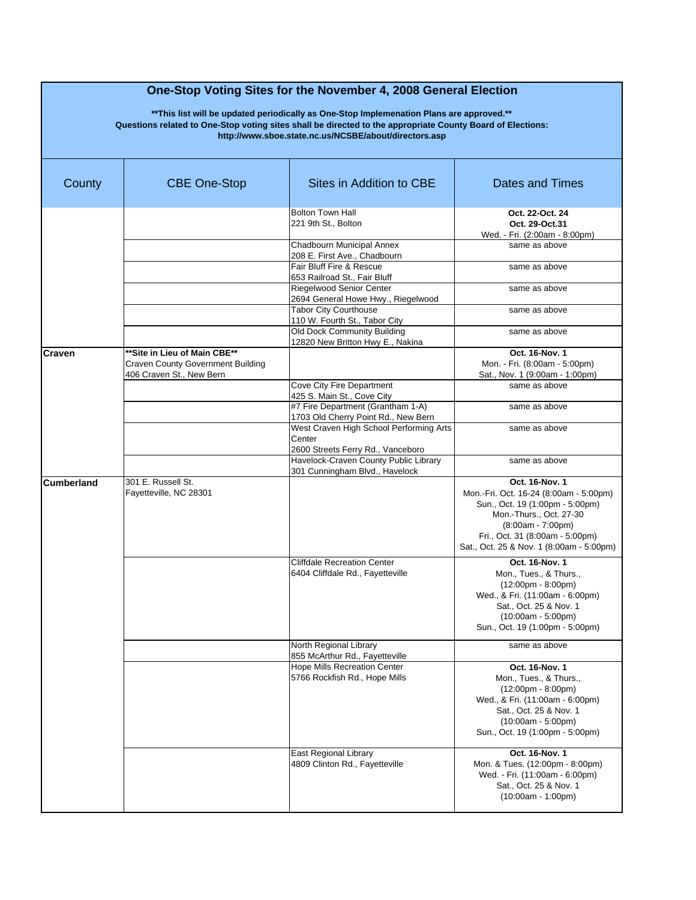| County            | <b>CBE One-Stop</b>                                                                                   | Sites in Addition to CBE                                                               | Dates and Times                                                                                                                                                                                                              |
|-------------------|-------------------------------------------------------------------------------------------------------|----------------------------------------------------------------------------------------|------------------------------------------------------------------------------------------------------------------------------------------------------------------------------------------------------------------------------|
|                   |                                                                                                       | <b>Bolton Town Hall</b><br>221 9th St., Bolton                                         | Oct. 22-Oct. 24<br>Oct. 29-Oct.31<br>Wed. - Fri. (2:00am - 8:00pm)                                                                                                                                                           |
|                   |                                                                                                       | Chadbourn Municipal Annex<br>208 E. First Ave., Chadbourn                              | same as above                                                                                                                                                                                                                |
|                   |                                                                                                       | Fair Bluff Fire & Rescue<br>653 Railroad St., Fair Bluff                               | same as above                                                                                                                                                                                                                |
|                   |                                                                                                       | Riegelwood Senior Center<br>2694 General Howe Hwy., Riegelwood                         | same as above                                                                                                                                                                                                                |
|                   |                                                                                                       | <b>Tabor City Courthouse</b><br>110 W. Fourth St., Tabor City                          | same as above                                                                                                                                                                                                                |
|                   |                                                                                                       | Old Dock Community Building<br>12820 New Britton Hwy E., Nakina                        | same as above                                                                                                                                                                                                                |
| Craven            | ** Site in Lieu of Main CBE**<br><b>Craven County Government Building</b><br>406 Craven St., New Bern |                                                                                        | Oct. 16-Nov. 1<br>Mon. - Fri. (8:00am - 5:00pm)<br>Sat., Nov. 1 (9:00am - 1:00pm)                                                                                                                                            |
|                   |                                                                                                       | Cove City Fire Department<br>425 S. Main St., Cove City                                | same as above                                                                                                                                                                                                                |
|                   |                                                                                                       | #7 Fire Department (Grantham 1-A)<br>1703 Old Cherry Point Rd., New Bern               | same as above                                                                                                                                                                                                                |
|                   |                                                                                                       | West Craven High School Performing Arts<br>Center<br>2600 Streets Ferry Rd., Vanceboro | same as above                                                                                                                                                                                                                |
|                   |                                                                                                       | Havelock-Craven County Public Library<br>301 Cunningham Blvd., Havelock                | same as above                                                                                                                                                                                                                |
| <b>Cumberland</b> | 301 E. Russell St.<br>Fayetteville, NC 28301                                                          |                                                                                        | Oct. 16-Nov. 1<br>Mon.-Fri. Oct. 16-24 (8:00am - 5:00pm)<br>Sun., Oct. 19 (1:00pm - 5:00pm)<br>Mon.-Thurs., Oct. 27-30<br>$(8:00am - 7:00pm)$<br>Fri., Oct. 31 (8:00am - 5:00pm)<br>Sat., Oct. 25 & Nov. 1 (8:00am - 5:00pm) |
|                   |                                                                                                       | <b>Cliffdale Recreation Center</b><br>6404 Cliffdale Rd., Fayetteville                 | Oct. 16-Nov. 1<br>Mon., Tues., & Thurs.,<br>$(12:00 \text{pm} - 8:00 \text{pm})$<br>Wed., & Fri. (11:00am - 6:00pm)<br>Sat., Oct. 25 & Nov. 1<br>$(10:00am - 5:00pm)$<br>Sun., Oct. 19 (1:00pm - 5:00pm)                     |
|                   |                                                                                                       | North Regional Library<br>855 McArthur Rd., Fayetteville                               | same as above                                                                                                                                                                                                                |
|                   |                                                                                                       | <b>Hope Mills Recreation Center</b><br>5766 Rockfish Rd., Hope Mills                   | Oct. 16-Nov. 1<br>Mon., Tues., & Thurs.,<br>$(12:00 \text{pm} - 8:00 \text{pm})$<br>Wed., & Fri. (11:00am - 6:00pm)<br>Sat., Oct. 25 & Nov. 1<br>$(10:00am - 5:00pm)$<br>Sun., Oct. 19 (1:00pm - 5:00pm)                     |
|                   |                                                                                                       | East Regional Library<br>4809 Clinton Rd., Fayetteville                                | Oct. 16-Nov. 1<br>Mon. & Tues. (12:00pm - 8:00pm)<br>Wed. - Fri. (11:00am - 6:00pm)<br>Sat., Oct. 25 & Nov. 1<br>$(10:00am - 1:00pm)$                                                                                        |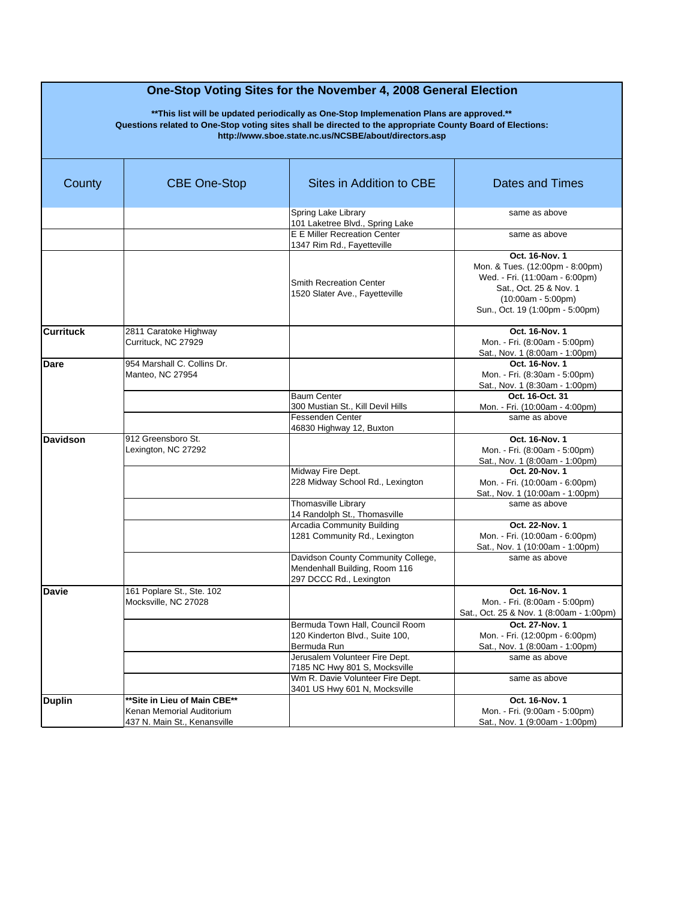| County           | <b>CBE One-Stop</b>                                                                       | Sites in Addition to CBE                                                                            | <b>Dates and Times</b>                                                                                                                                                   |
|------------------|-------------------------------------------------------------------------------------------|-----------------------------------------------------------------------------------------------------|--------------------------------------------------------------------------------------------------------------------------------------------------------------------------|
|                  |                                                                                           | Spring Lake Library<br>101 Laketree Blvd., Spring Lake                                              | same as above                                                                                                                                                            |
|                  |                                                                                           | <b>E E Miller Recreation Center</b><br>1347 Rim Rd., Fayetteville                                   | same as above                                                                                                                                                            |
|                  |                                                                                           | <b>Smith Recreation Center</b><br>1520 Slater Ave., Fayetteville                                    | Oct. 16-Nov. 1<br>Mon. & Tues. (12:00pm - 8:00pm)<br>Wed. - Fri. (11:00am - 6:00pm)<br>Sat., Oct. 25 & Nov. 1<br>$(10:00am - 5:00pm)$<br>Sun., Oct. 19 (1:00pm - 5:00pm) |
| <b>Currituck</b> | 2811 Caratoke Highway<br>Currituck, NC 27929                                              |                                                                                                     | Oct. 16-Nov. 1<br>Mon. - Fri. (8:00am - 5:00pm)<br>Sat., Nov. 1 (8:00am - 1:00pm)                                                                                        |
| Dare             | 954 Marshall C. Collins Dr.<br>Manteo, NC 27954                                           |                                                                                                     | Oct. 16-Nov. 1<br>Mon. - Fri. (8:30am - 5:00pm)<br>Sat., Nov. 1 (8:30am - 1:00pm)                                                                                        |
|                  |                                                                                           | <b>Baum Center</b><br>300 Mustian St., Kill Devil Hills<br>Fessenden Center                         | Oct. 16-Oct. 31<br>Mon. - Fri. (10:00am - 4:00pm)<br>same as above                                                                                                       |
| <b>Davidson</b>  | 912 Greensboro St.<br>Lexington, NC 27292                                                 | 46830 Highway 12, Buxton                                                                            | Oct. 16-Nov. 1<br>Mon. - Fri. (8:00am - 5:00pm)<br>Sat., Nov. 1 (8:00am - 1:00pm)                                                                                        |
|                  |                                                                                           | Midway Fire Dept.<br>228 Midway School Rd., Lexington                                               | Oct. 20-Nov. 1<br>Mon. - Fri. (10:00am - 6:00pm)<br>Sat., Nov. 1 (10:00am - 1:00pm)                                                                                      |
|                  |                                                                                           | Thomasville Library<br>14 Randolph St., Thomasville                                                 | same as above                                                                                                                                                            |
|                  |                                                                                           | Arcadia Community Building<br>1281 Community Rd., Lexington                                         | Oct. 22-Nov. 1<br>Mon. - Fri. (10:00am - 6:00pm)<br>Sat., Nov. 1 (10:00am - 1:00pm)                                                                                      |
|                  |                                                                                           | Davidson County Community College,<br>Mendenhall Building, Room 116<br>297 DCCC Rd., Lexington      | same as above                                                                                                                                                            |
| <b>Davie</b>     | 161 Poplare St., Ste. 102<br>Mocksville, NC 27028                                         |                                                                                                     | Oct. 16-Nov. 1<br>Mon. - Fri. (8:00am - 5:00pm)<br>Sat., Oct. 25 & Nov. 1 (8:00am - 1:00pm)                                                                              |
|                  |                                                                                           | Bermuda Town Hall, Council Room<br>120 Kinderton Blvd., Suite 100,<br>Bermuda Run                   | Oct. 27-Nov. 1<br>Mon. - Fri. (12:00pm - 6:00pm)<br>Sat., Nov. 1 (8:00am - 1:00pm)                                                                                       |
|                  |                                                                                           | Jerusalem Volunteer Fire Dept.<br>7185 NC Hwy 801 S, Mocksville<br>Wm R. Davie Volunteer Fire Dept. | same as above<br>same as above                                                                                                                                           |
| <b>Duplin</b>    | **Site in Lieu of Main CBE**<br>Kenan Memorial Auditorium<br>437 N. Main St., Kenansville | 3401 US Hwy 601 N, Mocksville                                                                       | Oct. 16-Nov. 1<br>Mon. - Fri. (9:00am - 5:00pm)<br>Sat., Nov. 1 (9:00am - 1:00pm)                                                                                        |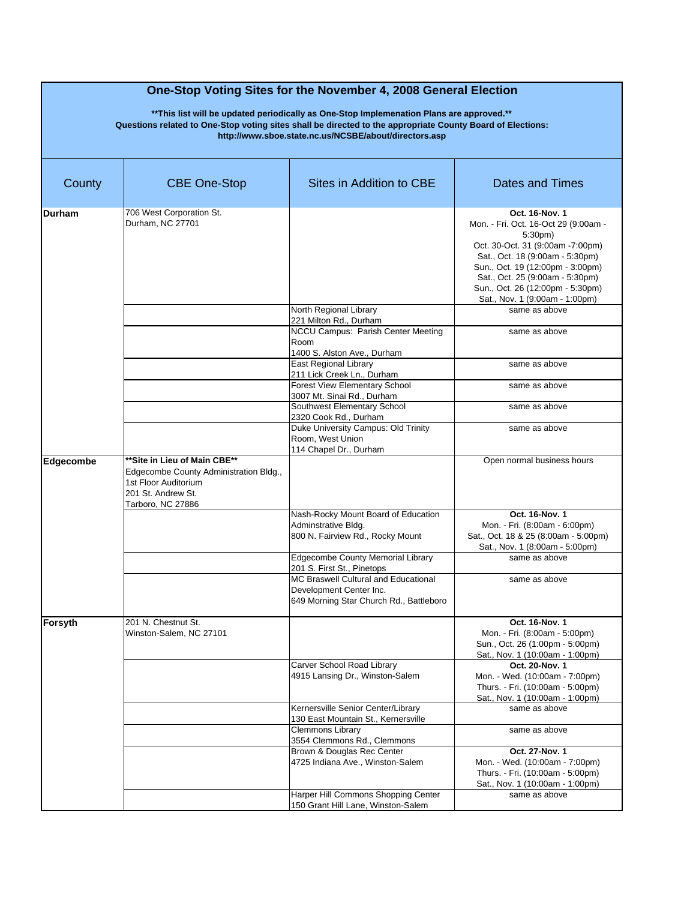| County    | <b>CBE One-Stop</b>                                                                                                                       | Sites in Addition to CBE                                                                                   | <b>Dates and Times</b>                                                                                                                                                                                                                                                                           |
|-----------|-------------------------------------------------------------------------------------------------------------------------------------------|------------------------------------------------------------------------------------------------------------|--------------------------------------------------------------------------------------------------------------------------------------------------------------------------------------------------------------------------------------------------------------------------------------------------|
| Durham    | 706 West Corporation St.<br>Durham, NC 27701                                                                                              |                                                                                                            | Oct. 16-Nov. 1<br>Mon. - Fri. Oct. 16-Oct 29 (9:00am -<br>5:30 <sub>pm</sub><br>Oct. 30-Oct. 31 (9:00am -7:00pm)<br>Sat., Oct. 18 (9:00am - 5:30pm)<br>Sun., Oct. 19 (12:00pm - 3:00pm)<br>Sat., Oct. 25 (9:00am - 5:30pm)<br>Sun., Oct. 26 (12:00pm - 5:30pm)<br>Sat., Nov. 1 (9:00am - 1:00pm) |
|           |                                                                                                                                           | North Regional Library<br>221 Milton Rd., Durham<br>NCCU Campus: Parish Center Meeting                     | same as above<br>same as above                                                                                                                                                                                                                                                                   |
|           |                                                                                                                                           | Room<br>1400 S. Alston Ave., Durham<br>East Regional Library                                               | same as above                                                                                                                                                                                                                                                                                    |
|           |                                                                                                                                           | 211 Lick Creek Ln., Durham<br><b>Forest View Elementary School</b><br>3007 Mt. Sinai Rd., Durham           | same as above                                                                                                                                                                                                                                                                                    |
|           |                                                                                                                                           | Southwest Elementary School<br>2320 Cook Rd., Durham<br>Duke University Campus: Old Trinity                | same as above<br>same as above                                                                                                                                                                                                                                                                   |
|           |                                                                                                                                           | Room, West Union<br>114 Chapel Dr., Durham                                                                 |                                                                                                                                                                                                                                                                                                  |
| Edgecombe | **Site in Lieu of Main CBE**<br>Edgecombe County Administration Bldg.,<br>1st Floor Auditorium<br>201 St. Andrew St.<br>Tarboro, NC 27886 |                                                                                                            | Open normal business hours                                                                                                                                                                                                                                                                       |
|           |                                                                                                                                           | Nash-Rocky Mount Board of Education<br>Adminstrative Bldg.<br>800 N. Fairview Rd., Rocky Mount             | Oct. 16-Nov. 1<br>Mon. - Fri. (8:00am - 6:00pm)<br>Sat., Oct. 18 & 25 (8:00am - 5:00pm)<br>Sat., Nov. 1 (8:00am - 5:00pm)                                                                                                                                                                        |
|           |                                                                                                                                           | Edgecombe County Memorial Library<br>201 S. First St., Pinetops                                            | same as above                                                                                                                                                                                                                                                                                    |
|           |                                                                                                                                           | MC Braswell Cultural and Educational<br>Development Center Inc.<br>649 Morning Star Church Rd., Battleboro | same as above                                                                                                                                                                                                                                                                                    |
| Forsyth   | 201 N. Chestnut St.<br>Winston-Salem, NC 27101                                                                                            |                                                                                                            | Oct. 16-Nov. 1<br>Mon. - Fri. (8:00am - 5:00pm)<br>Sun., Oct. 26 (1:00pm - 5:00pm)<br>Sat., Nov. 1 (10:00am - 1:00pm)                                                                                                                                                                            |
|           |                                                                                                                                           | Carver School Road Library<br>4915 Lansing Dr., Winston-Salem                                              | Oct. 20-Nov. 1<br>Mon. - Wed. (10:00am - 7:00pm)<br>Thurs. - Fri. (10:00am - 5:00pm)<br>Sat., Nov. 1 (10:00am - 1:00pm)                                                                                                                                                                          |
|           |                                                                                                                                           | Kernersville Senior Center/Library<br>130 East Mountain St., Kernersville                                  | same as above                                                                                                                                                                                                                                                                                    |
|           |                                                                                                                                           | Clemmons Library<br>3554 Clemmons Rd., Clemmons                                                            | same as above                                                                                                                                                                                                                                                                                    |
|           |                                                                                                                                           | Brown & Douglas Rec Center<br>4725 Indiana Ave., Winston-Salem                                             | Oct. 27-Nov. 1<br>Mon. - Wed. (10:00am - 7:00pm)<br>Thurs. - Fri. (10:00am - 5:00pm)<br>Sat., Nov. 1 (10:00am - 1:00pm)                                                                                                                                                                          |
|           |                                                                                                                                           | Harper Hill Commons Shopping Center<br>150 Grant Hill Lane, Winston-Salem                                  | same as above                                                                                                                                                                                                                                                                                    |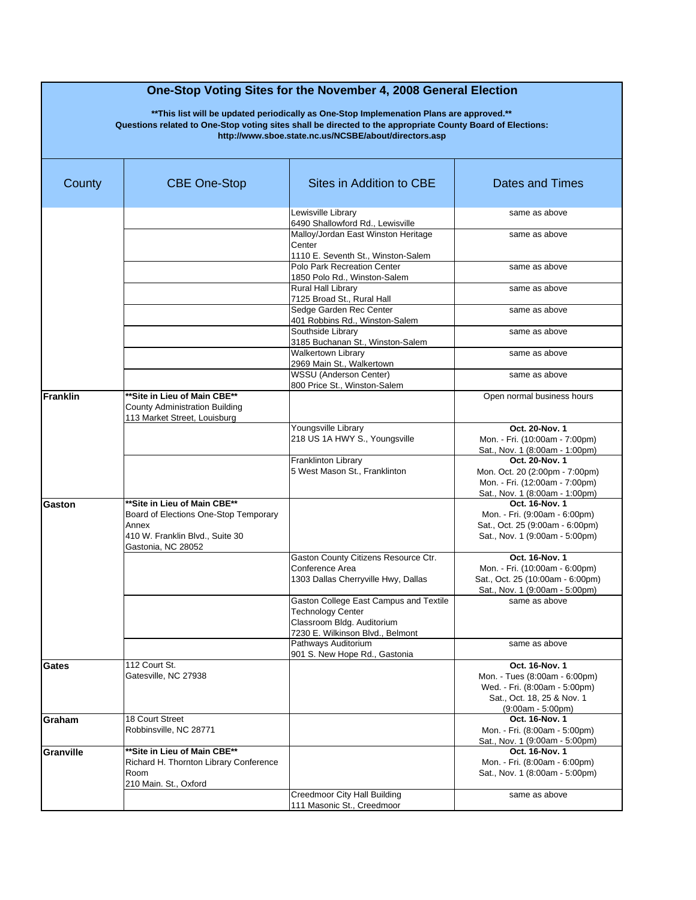| County    | <b>CBE One-Stop</b>                                                                                                                      | Sites in Addition to CBE                                                                                                             | Dates and Times                                                                                                                       |
|-----------|------------------------------------------------------------------------------------------------------------------------------------------|--------------------------------------------------------------------------------------------------------------------------------------|---------------------------------------------------------------------------------------------------------------------------------------|
|           |                                                                                                                                          | Lewisville Librarv<br>6490 Shallowford Rd., Lewisville                                                                               | same as above                                                                                                                         |
|           |                                                                                                                                          | Malloy/Jordan East Winston Heritage<br>Center<br>1110 E. Seventh St., Winston-Salem                                                  | same as above                                                                                                                         |
|           |                                                                                                                                          | Polo Park Recreation Center<br>1850 Polo Rd., Winston-Salem                                                                          | same as above                                                                                                                         |
|           |                                                                                                                                          | Rural Hall Library<br>7125 Broad St., Rural Hall                                                                                     | same as above                                                                                                                         |
|           |                                                                                                                                          | Sedge Garden Rec Center<br>401 Robbins Rd., Winston-Salem                                                                            | same as above                                                                                                                         |
|           |                                                                                                                                          | Southside Library<br>3185 Buchanan St., Winston-Salem                                                                                | same as above                                                                                                                         |
|           |                                                                                                                                          | <b>Walkertown Library</b><br>2969 Main St., Walkertown                                                                               | same as above                                                                                                                         |
|           |                                                                                                                                          | WSSU (Anderson Center)<br>800 Price St., Winston-Salem                                                                               | same as above                                                                                                                         |
| Franklin  | ** Site in Lieu of Main CBE**<br><b>County Administration Building</b><br>113 Market Street. Louisburg                                   |                                                                                                                                      | Open normal business hours                                                                                                            |
|           |                                                                                                                                          | Youngsville Library<br>218 US 1A HWY S., Youngsville                                                                                 | Oct. 20-Nov. 1<br>Mon. - Fri. (10:00am - 7:00pm)<br>Sat., Nov. 1 (8:00am - 1:00pm)                                                    |
|           |                                                                                                                                          | Franklinton Library<br>5 West Mason St., Franklinton                                                                                 | Oct. 20-Nov. 1<br>Mon. Oct. 20 (2:00pm - 7:00pm)<br>Mon. - Fri. (12:00am - 7:00pm)<br>Sat., Nov. 1 (8:00am - 1:00pm)                  |
| Gaston    | ** Site in Lieu of Main CBE**<br>Board of Elections One-Stop Temporary<br>Annex<br>410 W. Franklin Blvd., Suite 30<br>Gastonia, NC 28052 |                                                                                                                                      | Oct. 16-Nov. 1<br>Mon. - Fri. (9:00am - 6:00pm)<br>Sat., Oct. 25 (9:00am - 6:00pm)<br>Sat., Nov. 1 (9:00am - 5:00pm)                  |
|           |                                                                                                                                          | Gaston County Citizens Resource Ctr.<br>Conference Area<br>1303 Dallas Cherryville Hwy, Dallas                                       | Oct. 16-Nov. 1<br>Mon. - Fri. (10:00am - 6:00pm)<br>Sat., Oct. 25 (10:00am - 6:00pm)<br>Sat., Nov. 1 (9:00am - 5:00pm)                |
|           |                                                                                                                                          | Gaston College East Campus and Textile<br><b>Technology Center</b><br>Classroom Bldg. Auditorium<br>7230 E. Wilkinson Blvd., Belmont | same as above                                                                                                                         |
|           |                                                                                                                                          | Pathways Auditorium<br>901 S. New Hope Rd., Gastonia                                                                                 | same as above                                                                                                                         |
| Gates     | 112 Court St.<br>Gatesville, NC 27938                                                                                                    |                                                                                                                                      | Oct. 16-Nov. 1<br>Mon. - Tues (8:00am - 6:00pm)<br>Wed. - Fri. (8:00am - 5:00pm)<br>Sat., Oct. 18, 25 & Nov. 1<br>$(9:00am - 5:00pm)$ |
| Graham    | 18 Court Street<br>Robbinsville, NC 28771                                                                                                |                                                                                                                                      | Oct. 16-Nov. 1<br>Mon. - Fri. (8:00am - 5:00pm)<br>Sat., Nov. 1 (9:00am - 5:00pm)                                                     |
| Granville | ** Site in Lieu of Main CBE**<br>Richard H. Thornton Library Conference<br>Room<br>210 Main. St., Oxford                                 |                                                                                                                                      | Oct. 16-Nov. 1<br>Mon. - Fri. (8:00am - 6:00pm)<br>Sat., Nov. 1 (8:00am - 5:00pm)                                                     |
|           |                                                                                                                                          | <b>Creedmoor City Hall Building</b><br>111 Masonic St., Creedmoor                                                                    | same as above                                                                                                                         |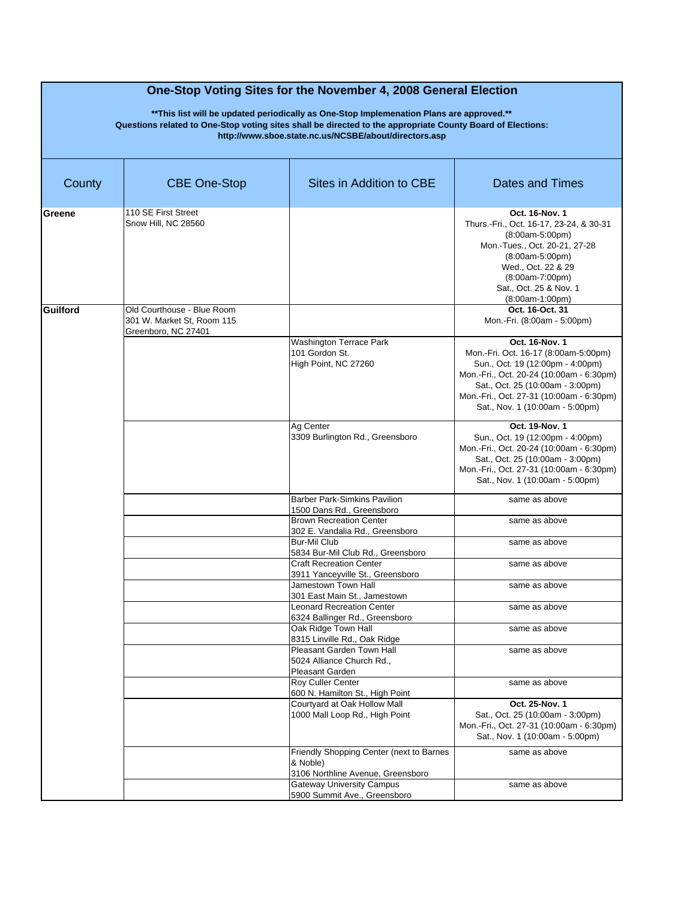| County          | <b>CBE One-Stop</b>                                                             | Sites in Addition to CBE                                                                  | Dates and Times                                                                                                                                                                                                                                           |
|-----------------|---------------------------------------------------------------------------------|-------------------------------------------------------------------------------------------|-----------------------------------------------------------------------------------------------------------------------------------------------------------------------------------------------------------------------------------------------------------|
| Greene          | 110 SE First Street<br>Snow Hill, NC 28560                                      |                                                                                           | Oct. 16-Nov. 1<br>Thurs.-Fri., Oct. 16-17, 23-24, & 30-31<br>(8:00am-5:00pm)<br>Mon.-Tues., Oct. 20-21, 27-28<br>$(8:00am-5:00pm)$<br>Wed., Oct. 22 & 29<br>$(8:00am-7:00pm)$<br>Sat., Oct. 25 & Nov. 1<br>(8:00am-1:00pm)                                |
| <b>Guilford</b> | Old Courthouse - Blue Room<br>301 W. Market St, Room 115<br>Greenboro, NC 27401 |                                                                                           | Oct. 16-Oct. 31<br>Mon.-Fri. (8:00am - 5:00pm)                                                                                                                                                                                                            |
|                 |                                                                                 | Washington Terrace Park<br>101 Gordon St.<br>High Point, NC 27260                         | Oct. 16-Nov. 1<br>Mon.-Fri. Oct. 16-17 (8:00am-5:00pm)<br>Sun., Oct. 19 (12:00pm - 4:00pm)<br>Mon.-Fri., Oct. 20-24 (10:00am - 6:30pm)<br>Sat., Oct. 25 (10:00am - 3:00pm)<br>Mon.-Fri., Oct. 27-31 (10:00am - 6:30pm)<br>Sat., Nov. 1 (10:00am - 5:00pm) |
|                 |                                                                                 | Ag Center<br>3309 Burlington Rd., Greensboro                                              | Oct. 19-Nov. 1<br>Sun., Oct. 19 (12:00pm - 4:00pm)<br>Mon.-Fri., Oct. 20-24 (10:00am - 6:30pm)<br>Sat., Oct. 25 (10:00am - 3:00pm)<br>Mon.-Fri., Oct. 27-31 (10:00am - 6:30pm)<br>Sat., Nov. 1 (10:00am - 5:00pm)                                         |
|                 |                                                                                 | <b>Barber Park-Simkins Pavilion</b><br>1500 Dans Rd., Greensboro                          | same as above                                                                                                                                                                                                                                             |
|                 |                                                                                 | <b>Brown Recreation Center</b><br>302 E. Vandalia Rd., Greensboro                         | same as above                                                                                                                                                                                                                                             |
|                 |                                                                                 | <b>Bur-Mil Club</b><br>5834 Bur-Mil Club Rd., Greensboro                                  | same as above                                                                                                                                                                                                                                             |
|                 |                                                                                 | <b>Craft Recreation Center</b><br>3911 Yanceyville St., Greensboro                        | same as above                                                                                                                                                                                                                                             |
|                 |                                                                                 | Jamestown Town Hall<br>301 East Main St., Jamestown                                       | same as above                                                                                                                                                                                                                                             |
|                 |                                                                                 | <b>Leonard Recreation Center</b><br>6324 Ballinger Rd., Greensboro                        | same as above                                                                                                                                                                                                                                             |
|                 |                                                                                 | Oak Ridge Town Hall<br>8315 Linville Rd., Oak Ridge                                       | same as above                                                                                                                                                                                                                                             |
|                 |                                                                                 | Pleasant Garden Town Hall<br>5024 Alliance Church Rd<br>Pleasant Garden                   | same as above                                                                                                                                                                                                                                             |
|                 |                                                                                 | Roy Culler Center<br>600 N. Hamilton St., High Point                                      | same as above                                                                                                                                                                                                                                             |
|                 |                                                                                 | Courtyard at Oak Hollow Mall<br>1000 Mall Loop Rd., High Point                            | Oct. 25-Nov. 1<br>Sat., Oct. 25 (10:00am - 3:00pm)<br>Mon.-Fri., Oct. 27-31 (10:00am - 6:30pm)<br>Sat., Nov. 1 (10:00am - 5:00pm)                                                                                                                         |
|                 |                                                                                 | Friendly Shopping Center (next to Barnes<br>& Noble)<br>3106 Northline Avenue, Greensboro | same as above                                                                                                                                                                                                                                             |
|                 |                                                                                 | <b>Gateway University Campus</b><br>5900 Summit Ave., Greensboro                          | same as above                                                                                                                                                                                                                                             |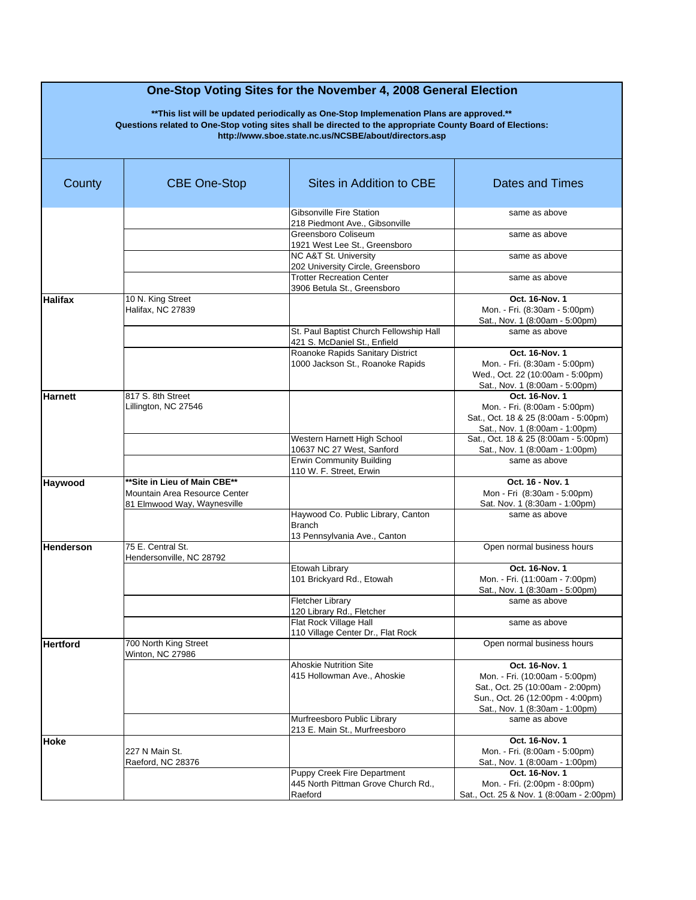| County           | <b>CBE One-Stop</b>                                                                          | Sites in Addition to CBE                                                            | Dates and Times                                                                                                                                            |
|------------------|----------------------------------------------------------------------------------------------|-------------------------------------------------------------------------------------|------------------------------------------------------------------------------------------------------------------------------------------------------------|
|                  |                                                                                              | <b>Gibsonville Fire Station</b><br>218 Piedmont Ave., Gibsonville                   | same as above                                                                                                                                              |
|                  |                                                                                              | Greensboro Coliseum<br>1921 West Lee St., Greensboro                                | same as above                                                                                                                                              |
|                  |                                                                                              | NC A&T St. University<br>202 University Circle, Greensboro                          | same as above                                                                                                                                              |
|                  |                                                                                              | <b>Trotter Recreation Center</b><br>3906 Betula St., Greensboro                     | same as above                                                                                                                                              |
| <b>Halifax</b>   | 10 N. King Street<br>Halifax, NC 27839                                                       |                                                                                     | Oct. 16-Nov. 1<br>Mon. - Fri. (8:30am - 5:00pm)<br>Sat., Nov. 1 (8:00am - 5:00pm)                                                                          |
|                  |                                                                                              | St. Paul Baptist Church Fellowship Hall<br>421 S. McDaniel St., Enfield             | same as above                                                                                                                                              |
|                  |                                                                                              | Roanoke Rapids Sanitary District<br>1000 Jackson St., Roanoke Rapids                | Oct. 16-Nov. 1<br>Mon. - Fri. (8:30am - 5:00pm)<br>Wed., Oct. 22 (10:00am - 5:00pm)<br>Sat., Nov. 1 (8:00am - 5:00pm)                                      |
| Harnett          | 817 S. 8th Street<br>Lillington, NC 27546                                                    |                                                                                     | Oct. 16-Nov. 1<br>Mon. - Fri. (8:00am - 5:00pm)<br>Sat., Oct. 18 & 25 (8:00am - 5:00pm)<br>Sat., Nov. 1 (8:00am - 1:00pm)                                  |
|                  |                                                                                              | Western Harnett High School<br>10637 NC 27 West, Sanford                            | Sat., Oct. 18 & 25 (8:00am - 5:00pm)<br>Sat., Nov. 1 (8:00am - 1:00pm)                                                                                     |
|                  |                                                                                              | <b>Erwin Community Building</b><br>110 W. F. Street. Erwin                          | same as above                                                                                                                                              |
| Haywood          | **Site in Lieu of Main CBE**<br>Mountain Area Resource Center<br>81 Elmwood Way, Waynesville |                                                                                     | Oct. 16 - Nov. 1<br>Mon - Fri (8:30am - 5:00pm)<br>Sat. Nov. 1 (8:30am - 1:00pm)                                                                           |
|                  |                                                                                              | Haywood Co. Public Library, Canton<br><b>Branch</b><br>13 Pennsylvania Ave., Canton | same as above                                                                                                                                              |
| <b>Henderson</b> | 75 E. Central St.<br>Hendersonville, NC 28792                                                |                                                                                     | Open normal business hours                                                                                                                                 |
|                  |                                                                                              | Etowah Library<br>101 Brickyard Rd., Etowah                                         | Oct. 16-Nov. 1<br>Mon. - Fri. (11:00am - 7:00pm)<br>Sat., Nov. 1 (8:30am - 5:00pm)                                                                         |
|                  |                                                                                              | <b>Fletcher Library</b><br>120 Library Rd., Fletcher                                | same as above                                                                                                                                              |
|                  |                                                                                              | Flat Rock Village Hall<br>110 Village Center Dr., Flat Rock                         | same as above                                                                                                                                              |
| <b>Hertford</b>  | 700 North King Street<br>Winton, NC 27986                                                    |                                                                                     | Open normal business hours                                                                                                                                 |
|                  |                                                                                              | <b>Ahoskie Nutrition Site</b><br>415 Hollowman Ave., Ahoskie                        | Oct. 16-Nov. 1<br>Mon. - Fri. (10:00am - 5:00pm)<br>Sat., Oct. 25 (10:00am - 2:00pm)<br>Sun., Oct. 26 (12:00pm - 4:00pm)<br>Sat., Nov. 1 (8:30am - 1:00pm) |
|                  |                                                                                              | Murfreesboro Public Library<br>213 E. Main St., Murfreesboro                        | same as above                                                                                                                                              |
| Hoke             | 227 N Main St.<br>Raeford, NC 28376                                                          |                                                                                     | Oct. 16-Nov. 1<br>Mon. - Fri. (8:00am - 5:00pm)<br>Sat., Nov. 1 (8:00am - 1:00pm)                                                                          |
|                  |                                                                                              | Puppy Creek Fire Department<br>445 North Pittman Grove Church Rd.,<br>Raeford       | Oct. 16-Nov. 1<br>Mon. - Fri. (2:00pm - 8:00pm)<br>Sat., Oct. 25 & Nov. 1 (8:00am - 2:00pm)                                                                |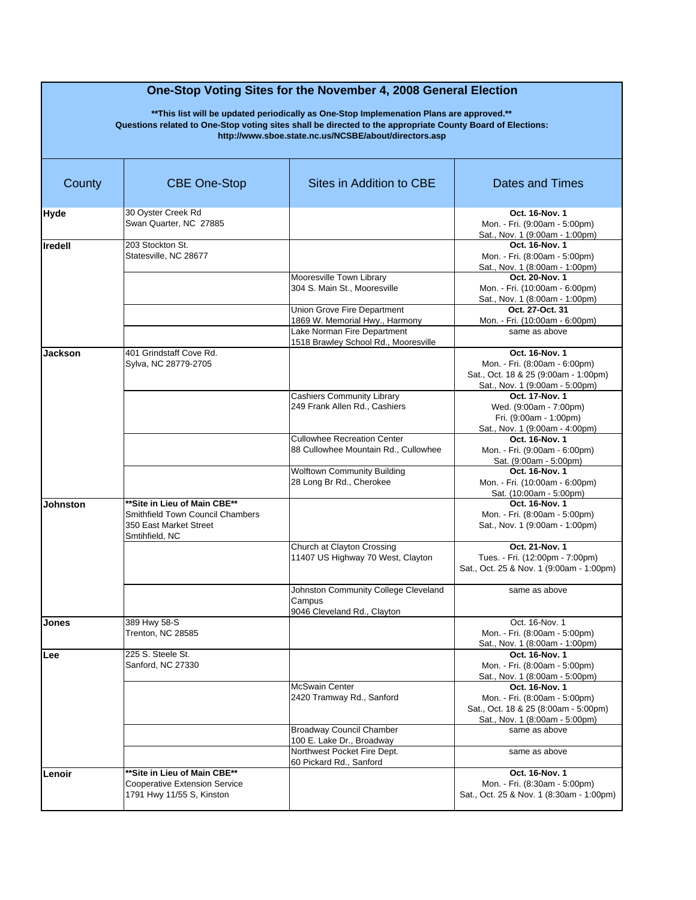| County          | <b>CBE One-Stop</b>                                                                                                 | Sites in Addition to CBE                                                                     | <b>Dates and Times</b>                                                                                                    |
|-----------------|---------------------------------------------------------------------------------------------------------------------|----------------------------------------------------------------------------------------------|---------------------------------------------------------------------------------------------------------------------------|
| Hyde            | 30 Oyster Creek Rd<br>Swan Quarter, NC 27885                                                                        |                                                                                              | Oct. 16-Nov. 1<br>Mon. - Fri. (9:00am - 5:00pm)<br>Sat., Nov. 1 (9:00am - 1:00pm)                                         |
| <b>Iredell</b>  | 203 Stockton St.<br>Statesville, NC 28677                                                                           |                                                                                              | Oct. 16-Nov. 1<br>Mon. - Fri. (8:00am - 5:00pm)<br>Sat., Nov. 1 (8:00am - 1:00pm)                                         |
|                 |                                                                                                                     | Mooresville Town Library<br>304 S. Main St., Mooresville                                     | Oct. 20-Nov. 1<br>Mon. - Fri. (10:00am - 6:00pm)<br>Sat., Nov. 1 (8:00am - 1:00pm)                                        |
|                 |                                                                                                                     | Union Grove Fire Department<br>1869 W. Memorial Hwy., Harmony<br>Lake Norman Fire Department | Oct. 27-Oct. 31<br>Mon. - Fri. (10:00am - 6:00pm)<br>same as above                                                        |
|                 |                                                                                                                     | 1518 Brawley School Rd., Mooresville                                                         |                                                                                                                           |
| Jackson         | 401 Grindstaff Cove Rd.<br>Sylva, NC 28779-2705                                                                     |                                                                                              | Oct. 16-Nov. 1<br>Mon. - Fri. (8:00am - 6:00pm)<br>Sat., Oct. 18 & 25 (9:00am - 1:00pm)<br>Sat., Nov. 1 (9:00am - 5:00pm) |
|                 |                                                                                                                     | <b>Cashiers Community Library</b><br>249 Frank Allen Rd., Cashiers                           | Oct. 17-Nov. 1<br>Wed. (9:00am - 7:00pm)<br>Fri. (9:00am - 1:00pm)<br>Sat., Nov. 1 (9:00am - 4:00pm)                      |
|                 |                                                                                                                     | <b>Cullowhee Recreation Center</b><br>88 Cullowhee Mountain Rd., Cullowhee                   | Oct. 16-Nov. 1<br>Mon. - Fri. (9:00am - 6:00pm)<br>Sat. (9:00am - 5:00pm)                                                 |
|                 |                                                                                                                     | <b>Wolftown Community Building</b><br>28 Long Br Rd., Cherokee                               | Oct. 16-Nov. 1<br>Mon. - Fri. (10:00am - 6:00pm)<br>Sat. (10:00am - 5:00pm)                                               |
| <b>Johnston</b> | **Site in Lieu of Main CBE**<br><b>Smithfield Town Council Chambers</b><br>350 East Market Street<br>Smtihfield, NC |                                                                                              | Oct. 16-Nov. 1<br>Mon. - Fri. (8:00am - 5:00pm)<br>Sat., Nov. 1 (9:00am - 1:00pm)                                         |
|                 |                                                                                                                     | Church at Clayton Crossing<br>11407 US Highway 70 West, Clayton                              | Oct. 21-Nov. 1<br>Tues. - Fri. (12:00pm - 7:00pm)<br>Sat., Oct. 25 & Nov. 1 (9:00am - 1:00pm)                             |
|                 |                                                                                                                     | Johnston Community College Cleveland<br>Campus<br>9046 Cleveland Rd., Clayton                | same as above                                                                                                             |
| Jones           | 389 Hwy 58-S<br>Trenton, NC 28585                                                                                   |                                                                                              | Oct. 16-Nov. 1<br>Mon. - Fri. (8:00am - 5:00pm)<br>Sat., Nov. 1 (8:00am - 1:00pm)                                         |
| Lee             | 225 S. Steele St.<br>Sanford, NC 27330                                                                              |                                                                                              | Oct. 16-Nov. 1<br>Mon. - Fri. (8:00am - 5:00pm)<br>Sat., Nov. 1 (8:00am - 5:00pm)                                         |
|                 |                                                                                                                     | <b>McSwain Center</b><br>2420 Tramway Rd., Sanford                                           | Oct. 16-Nov. 1<br>Mon. - Fri. (8:00am - 5:00pm)<br>Sat., Oct. 18 & 25 (8:00am - 5:00pm)<br>Sat., Nov. 1 (8:00am - 5:00pm) |
|                 |                                                                                                                     | <b>Broadway Council Chamber</b><br>100 E. Lake Dr., Broadway<br>Northwest Pocket Fire Dept.  | same as above<br>same as above                                                                                            |
|                 |                                                                                                                     | 60 Pickard Rd., Sanford                                                                      |                                                                                                                           |
| Lenoir          | **Site in Lieu of Main CBE**<br><b>Cooperative Extension Service</b><br>1791 Hwy 11/55 S, Kinston                   |                                                                                              | Oct. 16-Nov. 1<br>Mon. - Fri. (8:30am - 5:00pm)<br>Sat., Oct. 25 & Nov. 1 (8:30am - 1:00pm)                               |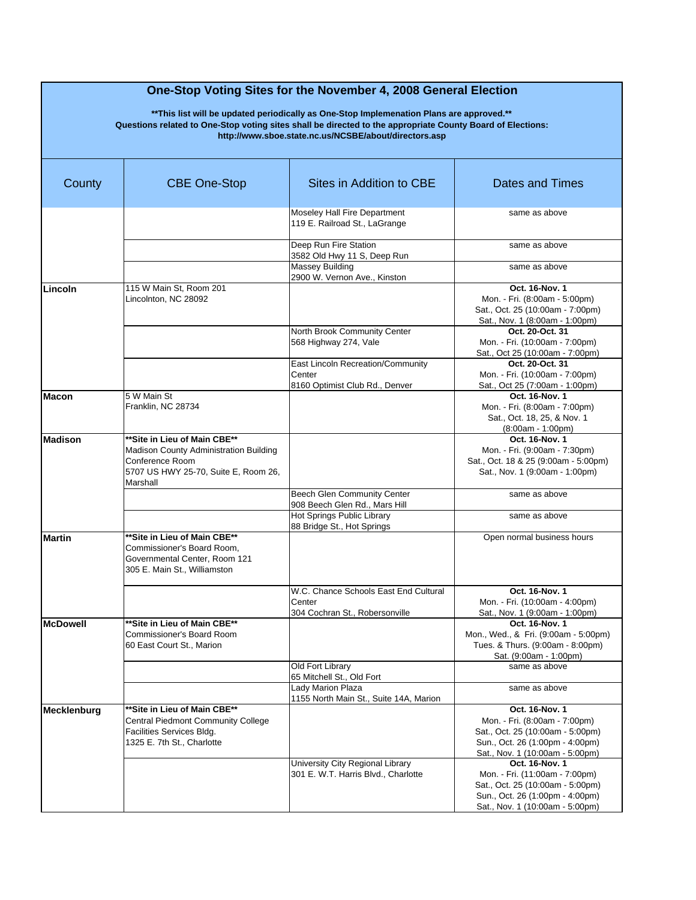| County          | <b>CBE One-Stop</b>                                                                                                                           | Sites in Addition to CBE                                                          | <b>Dates and Times</b>                                                                                                                                     |
|-----------------|-----------------------------------------------------------------------------------------------------------------------------------------------|-----------------------------------------------------------------------------------|------------------------------------------------------------------------------------------------------------------------------------------------------------|
|                 |                                                                                                                                               | Moseley Hall Fire Department<br>119 E. Railroad St., LaGrange                     | same as above                                                                                                                                              |
|                 |                                                                                                                                               | Deep Run Fire Station<br>3582 Old Hwy 11 S, Deep Run                              | same as above                                                                                                                                              |
|                 |                                                                                                                                               | <b>Massey Building</b><br>2900 W. Vernon Ave., Kinston                            | same as above                                                                                                                                              |
| Lincoln         | 115 W Main St, Room 201<br>Lincolnton, NC 28092                                                                                               |                                                                                   | Oct. 16-Nov. 1<br>Mon. - Fri. (8:00am - 5:00pm)<br>Sat., Oct. 25 (10:00am - 7:00pm)<br>Sat., Nov. 1 (8:00am - 1:00pm)                                      |
|                 |                                                                                                                                               | North Brook Community Center<br>568 Highway 274, Vale                             | Oct. 20-Oct. 31<br>Mon. - Fri. (10:00am - 7:00pm)<br>Sat., Oct 25 (10:00am - 7:00pm)                                                                       |
|                 |                                                                                                                                               | East Lincoln Recreation/Community<br>Center<br>8160 Optimist Club Rd., Denver     | Oct. 20-Oct. 31<br>Mon. - Fri. (10:00am - 7:00pm)<br>Sat., Oct 25 (7:00am - 1:00pm)                                                                        |
| <b>Macon</b>    | 5 W Main St<br>Franklin, NC 28734                                                                                                             |                                                                                   | Oct. 16-Nov. 1<br>Mon. - Fri. (8:00am - 7:00pm)<br>Sat., Oct. 18, 25, & Nov. 1<br>$(8:00am - 1:00pm)$                                                      |
| <b>Madison</b>  | **Site in Lieu of Main CBE**<br>Madison County Administration Building<br>Conference Room<br>5707 US HWY 25-70, Suite E, Room 26,<br>Marshall |                                                                                   | Oct. 16-Nov. 1<br>Mon. - Fri. (9:00am - 7:30pm)<br>Sat., Oct. 18 & 25 (9:00am - 5:00pm)<br>Sat., Nov. 1 (9:00am - 1:00pm)                                  |
|                 |                                                                                                                                               | Beech Glen Community Center<br>908 Beech Glen Rd., Mars Hill                      | same as above                                                                                                                                              |
|                 |                                                                                                                                               | Hot Springs Public Library<br>88 Bridge St., Hot Springs                          | same as above                                                                                                                                              |
| <b>Martin</b>   | **Site in Lieu of Main CBE**<br>Commissioner's Board Room,<br>Governmental Center, Room 121<br>305 E. Main St., Williamston                   |                                                                                   | Open normal business hours                                                                                                                                 |
|                 |                                                                                                                                               | W.C. Chance Schools East End Cultural<br>Center<br>304 Cochran St., Robersonville | Oct. 16-Nov. 1<br>Mon. - Fri. (10:00am - 4:00pm)<br>Sat., Nov. 1 (9:00am - 1:00pm)                                                                         |
| <b>McDowell</b> | **Site in Lieu of Main CBE**<br>Commissioner's Board Room<br>60 East Court St., Marion                                                        |                                                                                   | Oct. 16-Nov. 1<br>Mon., Wed., & Fri. (9:00am - 5:00pm)<br>Tues. & Thurs. (9:00am - 8:00pm)<br>Sat. (9:00am - 1:00pm)                                       |
|                 |                                                                                                                                               | Old Fort Library<br>65 Mitchell St., Old Fort                                     | same as above                                                                                                                                              |
|                 |                                                                                                                                               | Lady Marion Plaza<br>1155 North Main St., Suite 14A, Marion                       | same as above                                                                                                                                              |
| Mecklenburg     | **Site in Lieu of Main CBE**<br>Central Piedmont Community College<br>Facilities Services Bldg.<br>1325 E. 7th St., Charlotte                 |                                                                                   | Oct. 16-Nov. 1<br>Mon. - Fri. (8:00am - 7:00pm)<br>Sat., Oct. 25 (10:00am - 5:00pm)<br>Sun., Oct. 26 (1:00pm - 4:00pm)<br>Sat., Nov. 1 (10:00am - 5:00pm)  |
|                 |                                                                                                                                               | University City Regional Library<br>301 E. W.T. Harris Blvd., Charlotte           | Oct. 16-Nov. 1<br>Mon. - Fri. (11:00am - 7:00pm)<br>Sat., Oct. 25 (10:00am - 5:00pm)<br>Sun., Oct. 26 (1:00pm - 4:00pm)<br>Sat., Nov. 1 (10:00am - 5:00pm) |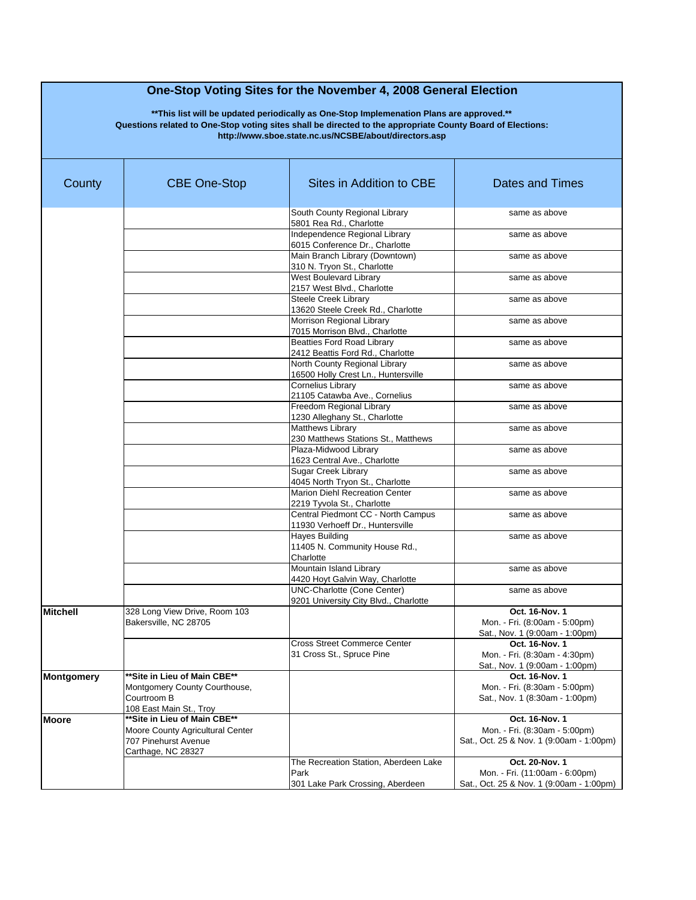| County          | <b>CBE One-Stop</b>                                                                                            | Sites in Addition to CBE                                                          | <b>Dates and Times</b>                                                                       |
|-----------------|----------------------------------------------------------------------------------------------------------------|-----------------------------------------------------------------------------------|----------------------------------------------------------------------------------------------|
|                 |                                                                                                                | South County Regional Library<br>5801 Rea Rd., Charlotte                          | same as above                                                                                |
|                 |                                                                                                                | Independence Regional Library<br>6015 Conference Dr., Charlotte                   | same as above                                                                                |
|                 |                                                                                                                | Main Branch Library (Downtown)<br>310 N. Tryon St., Charlotte                     | same as above                                                                                |
|                 |                                                                                                                | <b>West Boulevard Library</b><br>2157 West Blvd., Charlotte                       | same as above                                                                                |
|                 |                                                                                                                | <b>Steele Creek Library</b><br>13620 Steele Creek Rd., Charlotte                  | same as above                                                                                |
|                 |                                                                                                                | Morrison Regional Library<br>7015 Morrison Blvd., Charlotte                       | same as above                                                                                |
|                 |                                                                                                                | <b>Beatties Ford Road Library</b><br>2412 Beattis Ford Rd., Charlotte             | same as above                                                                                |
|                 |                                                                                                                | North County Regional Library<br>16500 Holly Crest Ln., Huntersville              | same as above                                                                                |
|                 |                                                                                                                | <b>Cornelius Library</b><br>21105 Catawba Ave., Cornelius                         | same as above                                                                                |
|                 |                                                                                                                | Freedom Regional Library<br>1230 Alleghany St., Charlotte                         | same as above                                                                                |
|                 |                                                                                                                | Matthews Library<br>230 Matthews Stations St., Matthews                           | same as above                                                                                |
|                 |                                                                                                                | Plaza-Midwood Library<br>1623 Central Ave., Charlotte                             | same as above                                                                                |
|                 |                                                                                                                | <b>Sugar Creek Library</b><br>4045 North Tryon St., Charlotte                     | same as above                                                                                |
|                 |                                                                                                                | Marion Diehl Recreation Center<br>2219 Tyvola St., Charlotte                      | same as above                                                                                |
|                 |                                                                                                                | Central Piedmont CC - North Campus<br>11930 Verhoeff Dr., Huntersville            | same as above                                                                                |
|                 |                                                                                                                | Hayes Building<br>11405 N. Community House Rd.,<br>Charlotte                      | same as above                                                                                |
|                 |                                                                                                                | Mountain Island Library<br>4420 Hoyt Galvin Way, Charlotte                        | same as above                                                                                |
|                 |                                                                                                                | <b>UNC-Charlotte (Cone Center)</b><br>9201 University City Blvd., Charlotte       | same as above                                                                                |
| <b>Mitchell</b> | 328 Long View Drive, Room 103<br>Bakersville, NC 28705                                                         |                                                                                   | Oct. 16-Nov. 1<br>Mon. - Fri. (8:00am - 5:00pm)<br>Sat., Nov. 1 (9:00am - 1:00pm)            |
|                 |                                                                                                                | <b>Cross Street Commerce Center</b><br>31 Cross St., Spruce Pine                  | Oct. 16-Nov. 1<br>Mon. - Fri. (8:30am - 4:30pm)<br>Sat., Nov. 1 (9:00am - 1:00pm)            |
| Montgomery      | ** Site in Lieu of Main CBE**<br>Montgomery County Courthouse,<br>Courtroom B<br>108 East Main St., Troy       |                                                                                   | Oct. 16-Nov. 1<br>Mon. - Fri. (8:30am - 5:00pm)<br>Sat., Nov. 1 (8:30am - 1:00pm)            |
| Moore           | **Site in Lieu of Main CBE**<br>Moore County Agricultural Center<br>707 Pinehurst Avenue<br>Carthage, NC 28327 |                                                                                   | Oct. 16-Nov. 1<br>Mon. - Fri. (8:30am - 5:00pm)<br>Sat., Oct. 25 & Nov. 1 (9:00am - 1:00pm)  |
|                 |                                                                                                                | The Recreation Station, Aberdeen Lake<br>Park<br>301 Lake Park Crossing, Aberdeen | Oct. 20-Nov. 1<br>Mon. - Fri. (11:00am - 6:00pm)<br>Sat., Oct. 25 & Nov. 1 (9:00am - 1:00pm) |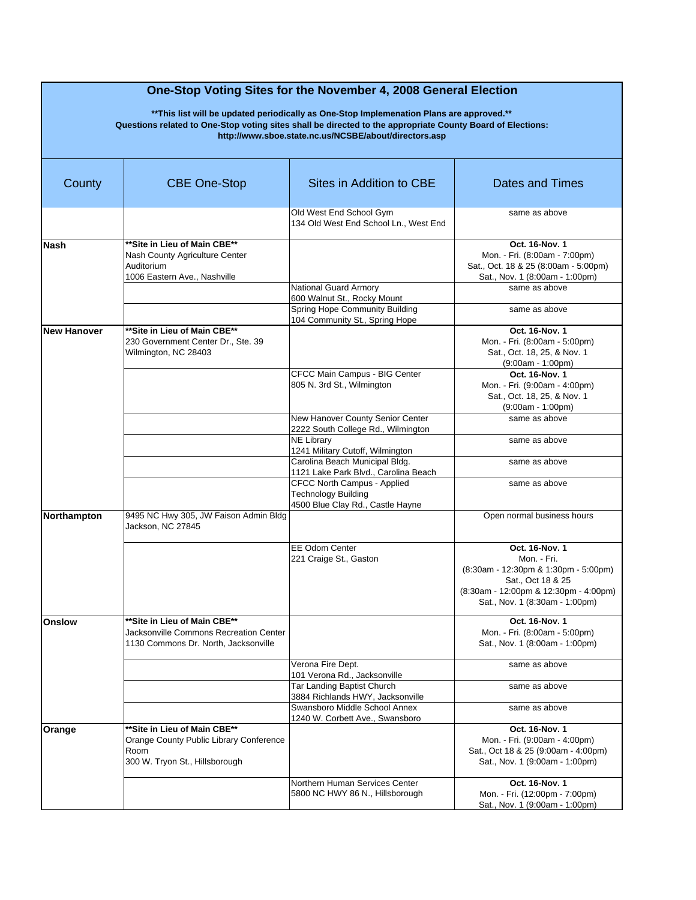| County             | <b>CBE One-Stop</b>                                                                                               | Sites in Addition to CBE                                                                      | Dates and Times                                                                                                                                                       |
|--------------------|-------------------------------------------------------------------------------------------------------------------|-----------------------------------------------------------------------------------------------|-----------------------------------------------------------------------------------------------------------------------------------------------------------------------|
|                    |                                                                                                                   | Old West End School Gym<br>134 Old West End School Ln., West End                              | same as above                                                                                                                                                         |
| <b>Nash</b>        | ** Site in Lieu of Main CBE**<br>Nash County Agriculture Center<br>Auditorium<br>1006 Eastern Ave., Nashville     |                                                                                               | Oct. 16-Nov. 1<br>Mon. - Fri. (8:00am - 7:00pm)<br>Sat., Oct. 18 & 25 (8:00am - 5:00pm)<br>Sat., Nov. 1 (8:00am - 1:00pm)                                             |
|                    |                                                                                                                   | National Guard Armory<br>600 Walnut St., Rocky Mount                                          | same as above                                                                                                                                                         |
|                    |                                                                                                                   | Spring Hope Community Building<br>104 Community St., Spring Hope                              | same as above                                                                                                                                                         |
| <b>New Hanover</b> | ** Site in Lieu of Main CBE**<br>230 Government Center Dr., Ste. 39<br>Wilmington, NC 28403                       |                                                                                               | Oct. 16-Nov. 1<br>Mon. - Fri. (8:00am - 5:00pm)<br>Sat., Oct. 18, 25, & Nov. 1<br>$(9:00am - 1:00pm)$                                                                 |
|                    |                                                                                                                   | CFCC Main Campus - BIG Center<br>805 N. 3rd St., Wilmington                                   | Oct. 16-Nov. 1<br>Mon. - Fri. (9:00am - 4:00pm)<br>Sat., Oct. 18, 25, & Nov. 1<br>$(9:00am - 1:00pm)$                                                                 |
|                    |                                                                                                                   | New Hanover County Senior Center<br>2222 South College Rd., Wilmington                        | same as above                                                                                                                                                         |
|                    |                                                                                                                   | <b>NE Library</b><br>1241 Military Cutoff, Wilmington                                         | same as above                                                                                                                                                         |
|                    |                                                                                                                   | Carolina Beach Municipal Bldg.<br>1121 Lake Park Blvd., Carolina Beach                        | same as above                                                                                                                                                         |
|                    |                                                                                                                   | CFCC North Campus - Applied<br><b>Technology Building</b><br>4500 Blue Clay Rd., Castle Hayne | same as above                                                                                                                                                         |
| Northampton        | 9495 NC Hwy 305, JW Faison Admin Bldg<br>Jackson, NC 27845                                                        |                                                                                               | Open normal business hours                                                                                                                                            |
|                    |                                                                                                                   | <b>EE Odom Center</b><br>221 Craige St., Gaston                                               | Oct. 16-Nov. 1<br>Mon. - Fri.<br>(8:30am - 12:30pm & 1:30pm - 5:00pm)<br>Sat., Oct 18 & 25<br>(8:30am - 12:00pm & 12:30pm - 4:00pm)<br>Sat., Nov. 1 (8:30am - 1:00pm) |
| <b>Onslow</b>      | **Site in Lieu of Main CBE**<br>Jacksonville Commons Recreation Center<br>1130 Commons Dr. North, Jacksonville    |                                                                                               | Oct. 16-Nov. 1<br>Mon. - Fri. (8:00am - 5:00pm)<br>Sat., Nov. 1 (8:00am - 1:00pm)                                                                                     |
|                    |                                                                                                                   | Verona Fire Dept.<br>101 Verona Rd., Jacksonville                                             | same as above                                                                                                                                                         |
|                    |                                                                                                                   | Tar Landing Baptist Church<br>3884 Richlands HWY, Jacksonville                                | same as above                                                                                                                                                         |
|                    |                                                                                                                   | Swansboro Middle School Annex<br>1240 W. Corbett Ave., Swansboro                              | same as above                                                                                                                                                         |
| Orange             | **Site in Lieu of Main CBE**<br>Orange County Public Library Conference<br>Room<br>300 W. Tryon St., Hillsborough |                                                                                               | Oct. 16-Nov. 1<br>Mon. - Fri. (9:00am - 4:00pm)<br>Sat., Oct 18 & 25 (9:00am - 4:00pm)<br>Sat., Nov. 1 (9:00am - 1:00pm)                                              |
|                    |                                                                                                                   | Northern Human Services Center<br>5800 NC HWY 86 N., Hillsborough                             | Oct. 16-Nov. 1<br>Mon. - Fri. (12:00pm - 7:00pm)<br>Sat., Nov. 1 (9:00am - 1:00pm)                                                                                    |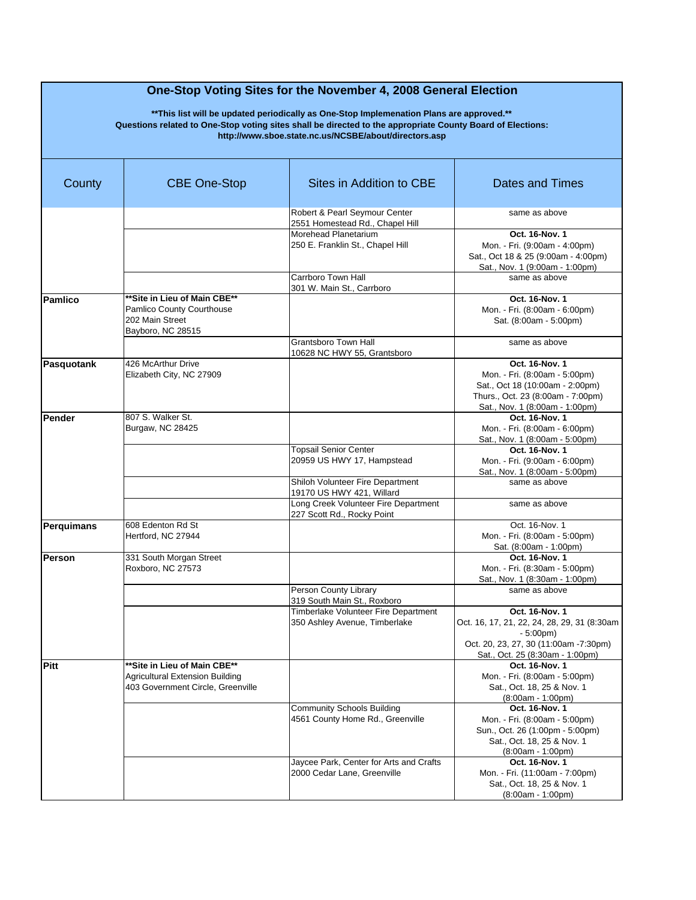| County            | <b>CBE One-Stop</b>                                                                                   | Sites in Addition to CBE                                               | <b>Dates and Times</b>                                                                                                                                    |
|-------------------|-------------------------------------------------------------------------------------------------------|------------------------------------------------------------------------|-----------------------------------------------------------------------------------------------------------------------------------------------------------|
|                   |                                                                                                       | Robert & Pearl Seymour Center<br>2551 Homestead Rd., Chapel Hill       | same as above                                                                                                                                             |
|                   |                                                                                                       | Morehead Planetarium<br>250 E. Franklin St., Chapel Hill               | Oct. 16-Nov. 1<br>Mon. - Fri. (9:00am - 4:00pm)<br>Sat., Oct 18 & 25 (9:00am - 4:00pm)<br>Sat., Nov. 1 (9:00am - 1:00pm)                                  |
|                   |                                                                                                       | Carrboro Town Hall<br>301 W. Main St., Carrboro                        | same as above                                                                                                                                             |
| <b>Pamlico</b>    | **Site in Lieu of Main CBE**<br>Pamlico County Courthouse<br>202 Main Street<br>Bayboro, NC 28515     |                                                                        | Oct. 16-Nov. 1<br>Mon. - Fri. (8:00am - 6:00pm)<br>Sat. (8:00am - 5:00pm)                                                                                 |
|                   |                                                                                                       | <b>Grantsboro Town Hall</b><br>10628 NC HWY 55, Grantsboro             | same as above                                                                                                                                             |
| Pasquotank        | 426 McArthur Drive<br>Elizabeth City, NC 27909                                                        |                                                                        | Oct. 16-Nov. 1<br>Mon. - Fri. (8:00am - 5:00pm)<br>Sat., Oct 18 (10:00am - 2:00pm)<br>Thurs., Oct. 23 (8:00am - 7:00pm)<br>Sat., Nov. 1 (8:00am - 1:00pm) |
| Pender            | 807 S. Walker St.<br>Burgaw, NC 28425                                                                 |                                                                        | Oct. 16-Nov. 1<br>Mon. - Fri. (8:00am - 6:00pm)<br>Sat., Nov. 1 (8:00am - 5:00pm)                                                                         |
|                   |                                                                                                       | <b>Topsail Senior Center</b><br>20959 US HWY 17, Hampstead             | Oct. 16-Nov. 1<br>Mon. - Fri. (9:00am - 6:00pm)<br>Sat., Nov. 1 (8:00am - 5:00pm)                                                                         |
|                   |                                                                                                       | Shiloh Volunteer Fire Department<br>19170 US HWY 421, Willard          | same as above                                                                                                                                             |
|                   |                                                                                                       | Long Creek Volunteer Fire Department<br>227 Scott Rd., Rocky Point     | same as above                                                                                                                                             |
| <b>Perquimans</b> | 608 Edenton Rd St<br>Hertford, NC 27944                                                               |                                                                        | Oct. 16-Nov. 1<br>Mon. - Fri. (8:00am - 5:00pm)<br>Sat. (8:00am - 1:00pm)                                                                                 |
| Person            | 331 South Morgan Street<br>Roxboro, NC 27573                                                          |                                                                        | Oct. 16-Nov. 1<br>Mon. - Fri. (8:30am - 5:00pm)<br>Sat., Nov. 1 (8:30am - 1:00pm)                                                                         |
|                   |                                                                                                       | Person County Library<br>319 South Main St., Roxboro                   | same as above                                                                                                                                             |
|                   |                                                                                                       | Timberlake Volunteer Fire Department<br>350 Ashley Avenue, Timberlake  | Oct. 16-Nov. 1<br>Oct. 16, 17, 21, 22, 24, 28, 29, 31 (8:30am<br>$-5:00pm)$<br>Oct. 20, 23, 27, 30 (11:00am -7:30pm)<br>Sat., Oct. 25 (8:30am - 1:00pm)   |
| Pitt              | ** Site in Lieu of Main CBE**<br>Agricultural Extension Building<br>403 Government Circle, Greenville |                                                                        | Oct. 16-Nov. 1<br>Mon. - Fri. (8:00am - 5:00pm)<br>Sat., Oct. 18, 25 & Nov. 1<br>$(8:00am - 1:00pm)$                                                      |
|                   |                                                                                                       | <b>Community Schools Building</b><br>4561 County Home Rd., Greenville  | Oct. 16-Nov. 1<br>Mon. - Fri. (8:00am - 5:00pm)<br>Sun., Oct. 26 (1:00pm - 5:00pm)<br>Sat., Oct. 18, 25 & Nov. 1<br>$(8:00am - 1:00pm)$                   |
|                   |                                                                                                       | Jaycee Park, Center for Arts and Crafts<br>2000 Cedar Lane, Greenville | Oct. 16-Nov. 1<br>Mon. - Fri. (11:00am - 7:00pm)<br>Sat., Oct. 18, 25 & Nov. 1<br>$(8:00am - 1:00pm)$                                                     |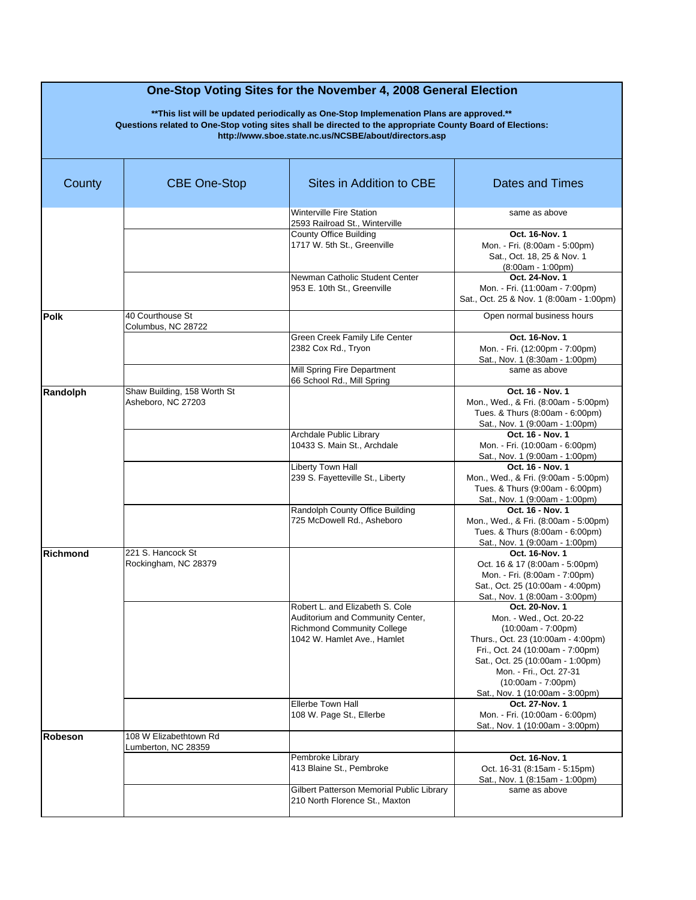| County          | <b>CBE One-Stop</b>                               | Sites in Addition to CBE                                                                                                                | <b>Dates and Times</b>                                                                                                                                                                                                                                                |
|-----------------|---------------------------------------------------|-----------------------------------------------------------------------------------------------------------------------------------------|-----------------------------------------------------------------------------------------------------------------------------------------------------------------------------------------------------------------------------------------------------------------------|
|                 |                                                   | <b>Winterville Fire Station</b><br>2593 Railroad St., Winterville                                                                       | same as above                                                                                                                                                                                                                                                         |
|                 |                                                   | <b>County Office Building</b><br>1717 W. 5th St., Greenville                                                                            | Oct. 16-Nov. 1<br>Mon. - Fri. (8:00am - 5:00pm)<br>Sat., Oct. 18, 25 & Nov. 1<br>$(8:00am - 1:00pm)$                                                                                                                                                                  |
|                 |                                                   | Newman Catholic Student Center<br>953 E. 10th St., Greenville                                                                           | Oct. 24-Nov. 1<br>Mon. - Fri. (11:00am - 7:00pm)<br>Sat., Oct. 25 & Nov. 1 (8:00am - 1:00pm)                                                                                                                                                                          |
| <b>Polk</b>     | 40 Courthouse St<br>Columbus, NC 28722            |                                                                                                                                         | Open normal business hours                                                                                                                                                                                                                                            |
|                 |                                                   | Green Creek Family Life Center<br>2382 Cox Rd., Tryon                                                                                   | Oct. 16-Nov. 1<br>Mon. - Fri. (12:00pm - 7:00pm)<br>Sat., Nov. 1 (8:30am - 1:00pm)                                                                                                                                                                                    |
|                 |                                                   | Mill Spring Fire Department<br>66 School Rd., Mill Spring                                                                               | same as above                                                                                                                                                                                                                                                         |
| Randolph        | Shaw Building, 158 Worth St<br>Asheboro, NC 27203 |                                                                                                                                         | Oct. 16 - Nov. 1<br>Mon., Wed., & Fri. (8:00am - 5:00pm)<br>Tues. & Thurs (8:00am - 6:00pm)<br>Sat., Nov. 1 (9:00am - 1:00pm)                                                                                                                                         |
|                 |                                                   | Archdale Public Library<br>10433 S. Main St., Archdale                                                                                  | Oct. 16 - Nov. 1<br>Mon. - Fri. (10:00am - 6:00pm)<br>Sat., Nov. 1 (9:00am - 1:00pm)                                                                                                                                                                                  |
|                 |                                                   | Liberty Town Hall<br>239 S. Fayetteville St., Liberty                                                                                   | Oct. 16 - Nov. 1<br>Mon., Wed., & Fri. (9:00am - 5:00pm)<br>Tues. & Thurs (9:00am - 6:00pm)<br>Sat., Nov. 1 (9:00am - 1:00pm)                                                                                                                                         |
|                 |                                                   | Randolph County Office Building<br>725 McDowell Rd., Asheboro                                                                           | Oct. 16 - Nov. 1<br>Mon., Wed., & Fri. (8:00am - 5:00pm)<br>Tues. & Thurs (8:00am - 6:00pm)<br>Sat., Nov. 1 (9:00am - 1:00pm)                                                                                                                                         |
| <b>Richmond</b> | 221 S. Hancock St<br>Rockingham, NC 28379         |                                                                                                                                         | Oct. 16-Nov. 1<br>Oct. 16 & 17 (8:00am - 5:00pm)<br>Mon. - Fri. (8:00am - 7:00pm)<br>Sat., Oct. 25 (10:00am - 4:00pm)<br>Sat., Nov. 1 (8:00am - 3:00pm)                                                                                                               |
|                 |                                                   | Robert L. and Elizabeth S. Cole<br>Auditorium and Community Center,<br><b>Richmond Community College</b><br>1042 W. Hamlet Ave., Hamlet | Oct. 20-Nov. 1<br>Mon. - Wed., Oct. 20-22<br>$(10:00am - 7:00pm)$<br>Thurs., Oct. 23 (10:00am - 4:00pm)<br>Fri., Oct. 24 (10:00am - 7:00pm)<br>Sat., Oct. 25 (10:00am - 1:00pm)<br>Mon. - Fri., Oct. 27-31<br>$(10:00am - 7:00pm)$<br>Sat., Nov. 1 (10:00am - 3:00pm) |
|                 |                                                   | Ellerbe Town Hall<br>108 W. Page St., Ellerbe                                                                                           | Oct. 27-Nov. 1<br>Mon. - Fri. (10:00am - 6:00pm)<br>Sat., Nov. 1 (10:00am - 3:00pm)                                                                                                                                                                                   |
| Robeson         | 108 W Elizabethtown Rd<br>Lumberton, NC 28359     |                                                                                                                                         |                                                                                                                                                                                                                                                                       |
|                 |                                                   | Pembroke Library<br>413 Blaine St., Pembroke                                                                                            | Oct. 16-Nov. 1<br>Oct. 16-31 (8:15am - 5:15pm)<br>Sat., Nov. 1 (8:15am - 1:00pm)                                                                                                                                                                                      |
|                 |                                                   | Gilbert Patterson Memorial Public Library<br>210 North Florence St., Maxton                                                             | same as above                                                                                                                                                                                                                                                         |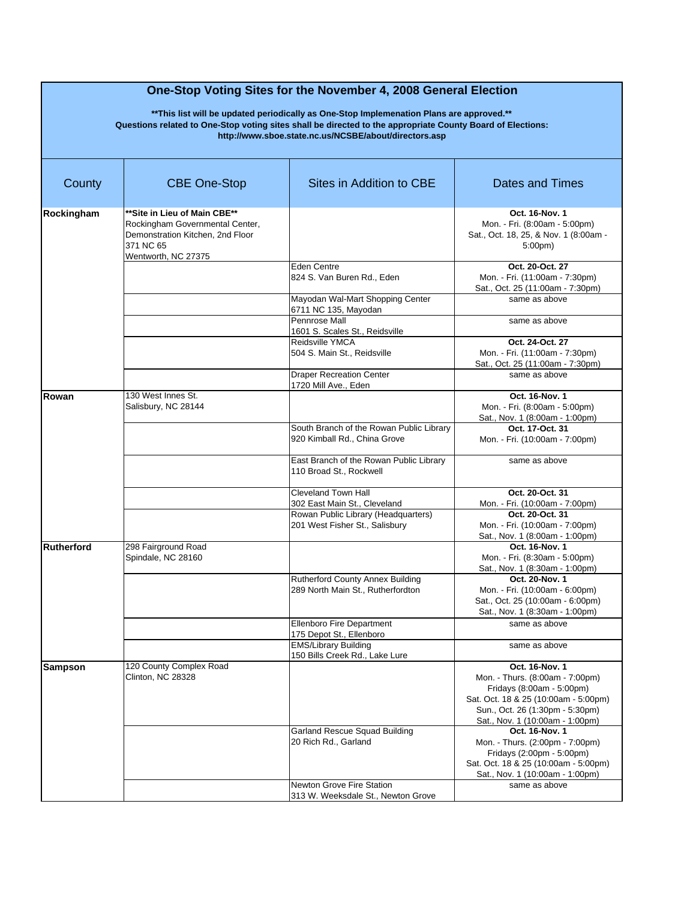| County            | <b>CBE One-Stop</b>                                                                                                                     | Sites in Addition to CBE                                                 | Dates and Times                                                                                                                                                                              |
|-------------------|-----------------------------------------------------------------------------------------------------------------------------------------|--------------------------------------------------------------------------|----------------------------------------------------------------------------------------------------------------------------------------------------------------------------------------------|
| Rockingham        | **Site in Lieu of Main CBE**<br>Rockingham Governmental Center,<br>Demonstration Kitchen, 2nd Floor<br>371 NC 65<br>Wentworth, NC 27375 |                                                                          | Oct. 16-Nov. 1<br>Mon. - Fri. (8:00am - 5:00pm)<br>Sat., Oct. 18, 25, & Nov. 1 (8:00am -<br>5:00 <sub>pm</sub>                                                                               |
|                   |                                                                                                                                         | Eden Centre<br>824 S. Van Buren Rd., Eden                                | Oct. 20-Oct. 27<br>Mon. - Fri. (11:00am - 7:30pm)<br>Sat., Oct. 25 (11:00am - 7:30pm)                                                                                                        |
|                   |                                                                                                                                         | Mayodan Wal-Mart Shopping Center<br>6711 NC 135, Mayodan                 | same as above                                                                                                                                                                                |
|                   |                                                                                                                                         | Pennrose Mall<br>1601 S. Scales St., Reidsville                          | same as above                                                                                                                                                                                |
|                   |                                                                                                                                         | Reidsville YMCA<br>504 S. Main St., Reidsville                           | Oct. 24-Oct. 27<br>Mon. - Fri. (11:00am - 7:30pm)<br>Sat., Oct. 25 (11:00am - 7:30pm)                                                                                                        |
|                   |                                                                                                                                         | <b>Draper Recreation Center</b><br>1720 Mill Ave., Eden                  | same as above                                                                                                                                                                                |
| Rowan             | 130 West Innes St.<br>Salisbury, NC 28144                                                                                               |                                                                          | Oct. 16-Nov. 1<br>Mon. - Fri. (8:00am - 5:00pm)<br>Sat., Nov. 1 (8:00am - 1:00pm)                                                                                                            |
|                   |                                                                                                                                         | South Branch of the Rowan Public Library<br>920 Kimball Rd., China Grove | Oct. 17-Oct. 31<br>Mon. - Fri. (10:00am - 7:00pm)                                                                                                                                            |
|                   |                                                                                                                                         | East Branch of the Rowan Public Library<br>110 Broad St., Rockwell       | same as above                                                                                                                                                                                |
|                   |                                                                                                                                         | Cleveland Town Hall<br>302 East Main St., Cleveland                      | Oct. 20-Oct. 31<br>Mon. - Fri. (10:00am - 7:00pm)                                                                                                                                            |
|                   |                                                                                                                                         | Rowan Public Library (Headquarters)<br>201 West Fisher St., Salisbury    | Oct. 20-Oct. 31<br>Mon. - Fri. (10:00am - 7:00pm)<br>Sat., Nov. 1 (8:00am - 1:00pm)                                                                                                          |
| <b>Rutherford</b> | 298 Fairground Road<br>Spindale, NC 28160                                                                                               |                                                                          | Oct. 16-Nov. 1<br>Mon. - Fri. (8:30am - 5:00pm)<br>Sat., Nov. 1 (8:30am - 1:00pm)                                                                                                            |
|                   |                                                                                                                                         | Rutherford County Annex Building<br>289 North Main St., Rutherfordton    | Oct. 20-Nov. 1<br>Mon. - Fri. (10:00am - 6:00pm)<br>Sat., Oct. 25 (10:00am - 6:00pm)<br>Sat., Nov. 1 (8:30am - 1:00pm)                                                                       |
|                   |                                                                                                                                         | <b>Ellenboro Fire Department</b><br>175 Depot St., Ellenboro             | same as above                                                                                                                                                                                |
|                   |                                                                                                                                         | <b>EMS/Library Building</b><br>150 Bills Creek Rd., Lake Lure            | same as above                                                                                                                                                                                |
| <b>Sampson</b>    | 120 County Complex Road<br>Clinton, NC 28328                                                                                            |                                                                          | Oct. 16-Nov. 1<br>Mon. - Thurs. (8:00am - 7:00pm)<br>Fridays (8:00am - 5:00pm)<br>Sat. Oct. 18 & 25 (10:00am - 5:00pm)<br>Sun., Oct. 26 (1:30pm - 5:30pm)<br>Sat., Nov. 1 (10:00am - 1:00pm) |
|                   |                                                                                                                                         | <b>Garland Rescue Squad Building</b><br>20 Rich Rd., Garland             | Oct. 16-Nov. 1<br>Mon. - Thurs. (2:00pm - 7:00pm)<br>Fridays (2:00pm - 5:00pm)<br>Sat. Oct. 18 & 25 (10:00am - 5:00pm)<br>Sat., Nov. 1 (10:00am - 1:00pm)                                    |
|                   |                                                                                                                                         | <b>Newton Grove Fire Station</b><br>313 W. Weeksdale St., Newton Grove   | same as above                                                                                                                                                                                |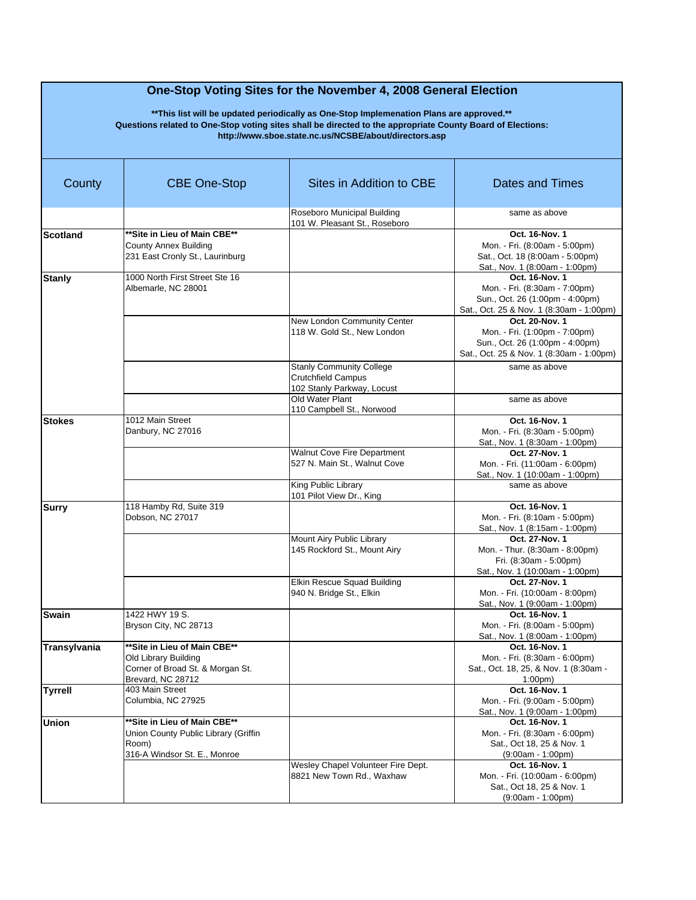| County          | <b>CBE One-Stop</b>                                                                                            | Sites in Addition to CBE                                                                   | Dates and Times                                                                                                                |
|-----------------|----------------------------------------------------------------------------------------------------------------|--------------------------------------------------------------------------------------------|--------------------------------------------------------------------------------------------------------------------------------|
|                 |                                                                                                                | Roseboro Municipal Building<br>101 W. Pleasant St., Roseboro                               | same as above                                                                                                                  |
| <b>Scotland</b> | ** Site in Lieu of Main CBE**<br><b>County Annex Building</b><br>231 East Cronly St., Laurinburg               |                                                                                            | Oct. 16-Nov. 1<br>Mon. - Fri. (8:00am - 5:00pm)<br>Sat., Oct. 18 (8:00am - 5:00pm)<br>Sat., Nov. 1 (8:00am - 1:00pm)           |
| <b>Stanly</b>   | 1000 North First Street Ste 16<br>Albemarle, NC 28001                                                          |                                                                                            | Oct. 16-Nov. 1<br>Mon. - Fri. (8:30am - 7:00pm)<br>Sun., Oct. 26 (1:00pm - 4:00pm)<br>Sat., Oct. 25 & Nov. 1 (8:30am - 1:00pm) |
|                 |                                                                                                                | New London Community Center<br>118 W. Gold St., New London                                 | Oct. 20-Nov. 1<br>Mon. - Fri. (1:00pm - 7:00pm)<br>Sun., Oct. 26 (1:00pm - 4:00pm)<br>Sat., Oct. 25 & Nov. 1 (8:30am - 1:00pm) |
|                 |                                                                                                                | <b>Stanly Community College</b><br><b>Crutchfield Campus</b><br>102 Stanly Parkway, Locust | same as above                                                                                                                  |
|                 |                                                                                                                | Old Water Plant<br>110 Campbell St., Norwood                                               | same as above                                                                                                                  |
| <b>Stokes</b>   | 1012 Main Street<br>Danbury, NC 27016                                                                          |                                                                                            | Oct. 16-Nov. 1<br>Mon. - Fri. (8:30am - 5:00pm)<br>Sat., Nov. 1 (8:30am - 1:00pm)                                              |
|                 |                                                                                                                | Walnut Cove Fire Department<br>527 N. Main St., Walnut Cove                                | Oct. 27-Nov. 1<br>Mon. - Fri. (11:00am - 6:00pm)<br>Sat., Nov. 1 (10:00am - 1:00pm)                                            |
|                 |                                                                                                                | King Public Library<br>101 Pilot View Dr., King                                            | same as above                                                                                                                  |
| <b>Surry</b>    | 118 Hamby Rd, Suite 319<br>Dobson, NC 27017                                                                    |                                                                                            | Oct. 16-Nov. 1<br>Mon. - Fri. (8:10am - 5:00pm)<br>Sat., Nov. 1 (8:15am - 1:00pm)                                              |
|                 |                                                                                                                | Mount Airy Public Library<br>145 Rockford St., Mount Airy                                  | Oct. 27-Nov. 1<br>Mon. - Thur. (8:30am - 8:00pm)<br>Fri. (8:30am - 5:00pm)<br>Sat., Nov. 1 (10:00am - 1:00pm)                  |
|                 |                                                                                                                | Elkin Rescue Squad Building<br>940 N. Bridge St., Elkin                                    | Oct. 27-Nov. 1<br>Mon. - Fri. (10:00am - 8:00pm)<br>Sat., Nov. 1 (9:00am - 1:00pm)                                             |
| <b>Swain</b>    | 1422 HWY 19 S.<br>Bryson City, NC 28713                                                                        |                                                                                            | Oct. 16-Nov. 1<br>Mon. - Fri. (8:00am - 5:00pm)<br>Sat., Nov. 1 (8:00am - 1:00pm)                                              |
| Transylvania    | **Site in Lieu of Main CBE**<br>Old Library Building<br>Corner of Broad St. & Morgan St.<br>Brevard, NC 28712  |                                                                                            | Oct. 16-Nov. 1<br>Mon. - Fri. (8:30am - 6:00pm)<br>Sat., Oct. 18, 25, & Nov. 1 (8:30am -<br>$1:00 \text{pm}$                   |
| <b>Tyrrell</b>  | 403 Main Street<br>Columbia, NC 27925                                                                          |                                                                                            | Oct. 16-Nov. 1<br>Mon. - Fri. (9:00am - 5:00pm)<br>Sat., Nov. 1 (9:00am - 1:00pm)                                              |
| <b>Union</b>    | ** Site in Lieu of Main CBE**<br>Union County Public Library (Griffin<br>Room)<br>316-A Windsor St. E., Monroe |                                                                                            | Oct. 16-Nov. 1<br>Mon. - Fri. (8:30am - 6:00pm)<br>Sat., Oct 18, 25 & Nov. 1<br>$(9:00am - 1:00pm)$                            |
|                 |                                                                                                                | Wesley Chapel Volunteer Fire Dept.<br>8821 New Town Rd., Waxhaw                            | Oct. 16-Nov. 1<br>Mon. - Fri. (10:00am - 6:00pm)<br>Sat., Oct 18, 25 & Nov. 1<br>$(9:00am - 1:00pm)$                           |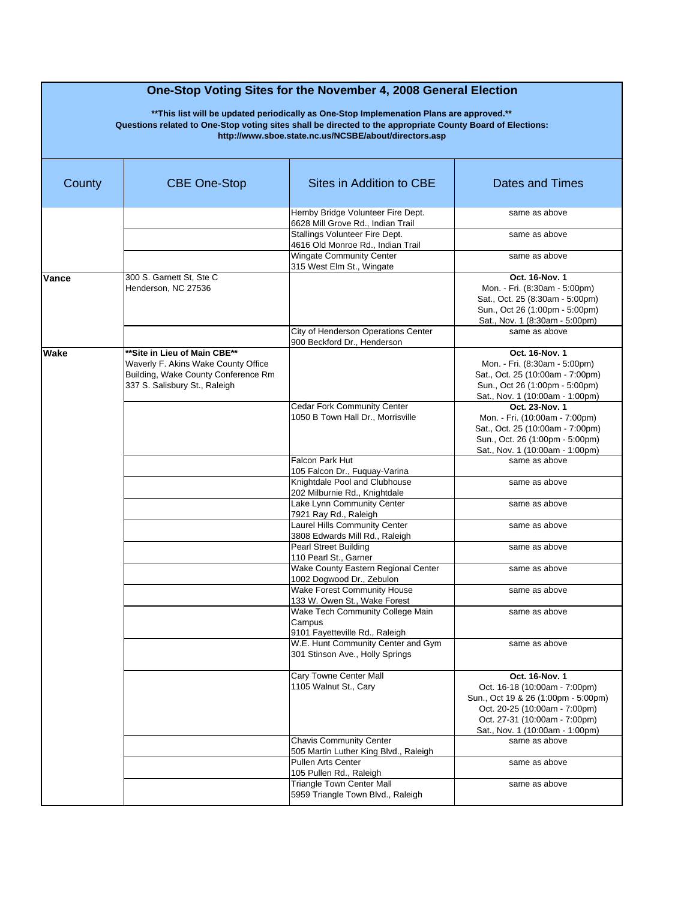| County | <b>CBE One-Stop</b>                                                                                                                         | Sites in Addition to CBE                                                     | Dates and Times                                                                                                                                                                             |
|--------|---------------------------------------------------------------------------------------------------------------------------------------------|------------------------------------------------------------------------------|---------------------------------------------------------------------------------------------------------------------------------------------------------------------------------------------|
|        |                                                                                                                                             | Hemby Bridge Volunteer Fire Dept.<br>6628 Mill Grove Rd., Indian Trail       | same as above                                                                                                                                                                               |
|        |                                                                                                                                             | Stallings Volunteer Fire Dept.<br>4616 Old Monroe Rd., Indian Trail          | same as above                                                                                                                                                                               |
|        |                                                                                                                                             | <b>Wingate Community Center</b><br>315 West Elm St., Wingate                 | same as above                                                                                                                                                                               |
| Vance  | 300 S. Garnett St, Ste C<br>Henderson, NC 27536                                                                                             |                                                                              | Oct. 16-Nov. 1<br>Mon. - Fri. (8:30am - 5:00pm)<br>Sat., Oct. 25 (8:30am - 5:00pm)<br>Sun., Oct 26 (1:00pm - 5:00pm)<br>Sat., Nov. 1 (8:30am - 5:00pm)                                      |
|        |                                                                                                                                             | City of Henderson Operations Center<br>900 Beckford Dr., Henderson           | same as above                                                                                                                                                                               |
| Wake   | **Site in Lieu of Main CBE**<br>Waverly F. Akins Wake County Office<br>Building, Wake County Conference Rm<br>337 S. Salisbury St., Raleigh | <b>Cedar Fork Community Center</b>                                           | Oct. 16-Nov. 1<br>Mon. - Fri. (8:30am - 5:00pm)<br>Sat., Oct. 25 (10:00am - 7:00pm)<br>Sun., Oct 26 (1:00pm - 5:00pm)<br>Sat., Nov. 1 (10:00am - 1:00pm)<br>Oct. 23-Nov. 1                  |
|        |                                                                                                                                             | 1050 B Town Hall Dr., Morrisville                                            | Mon. - Fri. (10:00am - 7:00pm)<br>Sat., Oct. 25 (10:00am - 7:00pm)<br>Sun., Oct. 26 (1:00pm - 5:00pm)<br>Sat., Nov. 1 (10:00am - 1:00pm)                                                    |
|        |                                                                                                                                             | <b>Falcon Park Hut</b><br>105 Falcon Dr., Fuguay-Varina                      | same as above                                                                                                                                                                               |
|        |                                                                                                                                             | Knightdale Pool and Clubhouse<br>202 Milburnie Rd., Knightdale               | same as above                                                                                                                                                                               |
|        |                                                                                                                                             | Lake Lynn Community Center<br>7921 Ray Rd., Raleigh                          | same as above                                                                                                                                                                               |
|        |                                                                                                                                             | Laurel Hills Community Center<br>3808 Edwards Mill Rd., Raleigh              | same as above                                                                                                                                                                               |
|        |                                                                                                                                             | <b>Pearl Street Building</b><br>110 Pearl St., Garner                        | same as above                                                                                                                                                                               |
|        |                                                                                                                                             | Wake County Eastern Regional Center<br>1002 Dogwood Dr., Zebulon             | same as above                                                                                                                                                                               |
|        |                                                                                                                                             | Wake Forest Community House<br>133 W. Owen St., Wake Forest                  | same as above                                                                                                                                                                               |
|        |                                                                                                                                             | Wake Tech Community College Main<br>Campus<br>9101 Fayetteville Rd., Raleigh | same as above                                                                                                                                                                               |
|        |                                                                                                                                             | W.E. Hunt Community Center and Gym<br>301 Stinson Ave., Holly Springs        | same as above                                                                                                                                                                               |
|        |                                                                                                                                             | Cary Towne Center Mall<br>1105 Walnut St., Cary                              | Oct. 16-Nov. 1<br>Oct. 16-18 (10:00am - 7:00pm)<br>Sun., Oct 19 & 26 (1:00pm - 5:00pm)<br>Oct. 20-25 (10:00am - 7:00pm)<br>Oct. 27-31 (10:00am - 7:00pm)<br>Sat., Nov. 1 (10:00am - 1:00pm) |
|        |                                                                                                                                             | <b>Chavis Community Center</b><br>505 Martin Luther King Blvd., Raleigh      | same as above                                                                                                                                                                               |
|        |                                                                                                                                             | <b>Pullen Arts Center</b><br>105 Pullen Rd., Raleigh                         | same as above                                                                                                                                                                               |
|        |                                                                                                                                             | <b>Triangle Town Center Mall</b><br>5959 Triangle Town Blvd., Raleigh        | same as above                                                                                                                                                                               |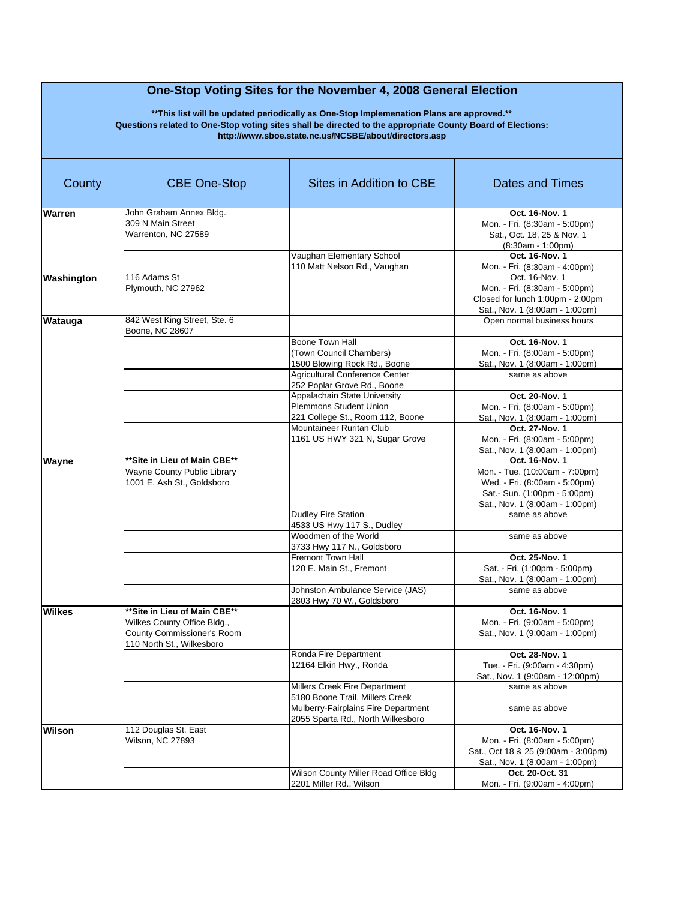| County        | <b>CBE One-Stop</b>          | Sites in Addition to CBE                                             | <b>Dates and Times</b>              |
|---------------|------------------------------|----------------------------------------------------------------------|-------------------------------------|
| Warren        | John Graham Annex Bldg.      |                                                                      | Oct. 16-Nov. 1                      |
|               | 309 N Main Street            |                                                                      | Mon. - Fri. (8:30am - 5:00pm)       |
|               | Warrenton, NC 27589          |                                                                      | Sat., Oct. 18, 25 & Nov. 1          |
|               |                              |                                                                      | $(8:30am - 1:00pm)$                 |
|               |                              | Vaughan Elementary School                                            | Oct. 16-Nov. 1                      |
|               |                              | 110 Matt Nelson Rd., Vaughan                                         | Mon. - Fri. (8:30am - 4:00pm)       |
| Washington    | 116 Adams St                 |                                                                      | Oct. 16-Nov. 1                      |
|               | Plymouth, NC 27962           |                                                                      | Mon. - Fri. (8:30am - 5:00pm)       |
|               |                              |                                                                      | Closed for lunch 1:00pm - 2:00pm    |
|               |                              |                                                                      | Sat., Nov. 1 (8:00am - 1:00pm)      |
| Watauga       | 842 West King Street, Ste. 6 |                                                                      | Open normal business hours          |
|               | Boone, NC 28607              |                                                                      |                                     |
|               |                              | <b>Boone Town Hall</b>                                               | Oct. 16-Nov. 1                      |
|               |                              | (Town Council Chambers)                                              | Mon. - Fri. (8:00am - 5:00pm)       |
|               |                              | 1500 Blowing Rock Rd., Boone                                         | Sat., Nov. 1 (8:00am - 1:00pm)      |
|               |                              | <b>Agricultural Conference Center</b><br>252 Poplar Grove Rd., Boone | same as above                       |
|               |                              | Appalachain State University                                         | Oct. 20-Nov. 1                      |
|               |                              | <b>Plemmons Student Union</b>                                        | Mon. - Fri. (8:00am - 5:00pm)       |
|               |                              | 221 College St., Room 112, Boone                                     | Sat., Nov. 1 (8:00am - 1:00pm)      |
|               |                              | Mountaineer Ruritan Club                                             | Oct. 27-Nov. 1                      |
|               |                              | 1161 US HWY 321 N, Sugar Grove                                       | Mon. - Fri. (8:00am - 5:00pm)       |
|               |                              |                                                                      | Sat., Nov. 1 (8:00am - 1:00pm)      |
| <b>Wayne</b>  | **Site in Lieu of Main CBE** |                                                                      | Oct. 16-Nov. 1                      |
|               | Wayne County Public Library  |                                                                      | Mon. - Tue. (10:00am - 7:00pm)      |
|               | 1001 E. Ash St., Goldsboro   |                                                                      | Wed. - Fri. (8:00am - 5:00pm)       |
|               |                              |                                                                      | Sat.- Sun. (1:00pm - 5:00pm)        |
|               |                              |                                                                      | Sat., Nov. 1 (8:00am - 1:00pm)      |
|               |                              | <b>Dudley Fire Station</b>                                           | same as above                       |
|               |                              | 4533 US Hwy 117 S., Dudley                                           |                                     |
|               |                              | Woodmen of the World                                                 | same as above                       |
|               |                              | 3733 Hwy 117 N., Goldsboro                                           |                                     |
|               |                              | <b>Fremont Town Hall</b>                                             | Oct. 25-Nov. 1                      |
|               |                              | 120 E. Main St., Fremont                                             | Sat. - Fri. (1:00pm - 5:00pm)       |
|               |                              |                                                                      | Sat., Nov. 1 (8:00am - 1:00pm)      |
|               |                              | Johnston Ambulance Service (JAS)                                     | same as above                       |
|               |                              | 2803 Hwy 70 W., Goldsboro                                            |                                     |
| <b>Wilkes</b> | **Site in Lieu of Main CBE** |                                                                      | Oct. 16-Nov. 1                      |
|               | Wilkes County Office Bldg.,  |                                                                      | Mon. - Fri. (9:00am - 5:00pm)       |
|               | County Commissioner's Room   |                                                                      | Sat., Nov. 1 (9:00am - 1:00pm)      |
|               | 110 North St., Wilkesboro    |                                                                      |                                     |
|               |                              | Ronda Fire Department                                                | Oct. 28-Nov. 1                      |
|               |                              | 12164 Elkin Hwy., Ronda                                              | Tue. - Fri. (9:00am - 4:30pm)       |
|               |                              |                                                                      | Sat., Nov. 1 (9:00am - 12:00pm)     |
|               |                              | Millers Creek Fire Department                                        | same as above                       |
|               |                              | 5180 Boone Trail, Millers Creek                                      |                                     |
|               |                              | Mulberry-Fairplains Fire Department                                  | same as above                       |
|               |                              | 2055 Sparta Rd., North Wilkesboro                                    |                                     |
| <b>Wilson</b> | 112 Douglas St. East         |                                                                      | Oct. 16-Nov. 1                      |
|               | <b>Wilson, NC 27893</b>      |                                                                      | Mon. - Fri. (8:00am - 5:00pm)       |
|               |                              |                                                                      | Sat., Oct 18 & 25 (9:00am - 3:00pm) |
|               |                              |                                                                      | Sat., Nov. 1 (8:00am - 1:00pm)      |
|               |                              | Wilson County Miller Road Office Bldg                                | Oct. 20-Oct. 31                     |
|               |                              | 2201 Miller Rd., Wilson                                              | Mon. - Fri. (9:00am - 4:00pm)       |